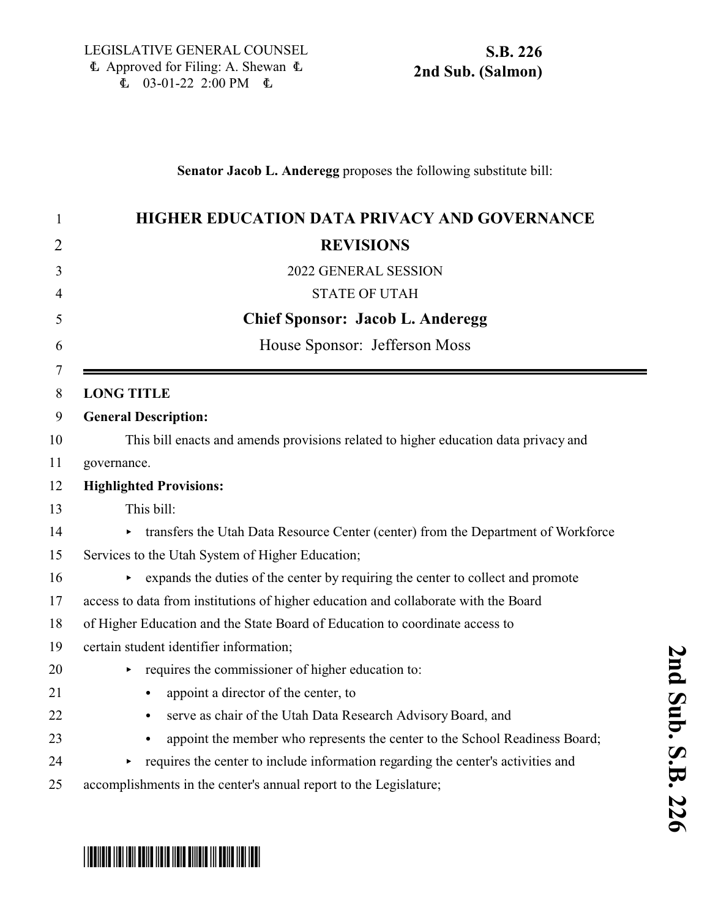### **Senator Jacob L. Anderegg** proposes the following substitute bill:

| 1      | <b>HIGHER EDUCATION DATA PRIVACY AND GOVERNANCE</b>                                     |
|--------|-----------------------------------------------------------------------------------------|
| 2      | <b>REVISIONS</b>                                                                        |
| 3      | 2022 GENERAL SESSION                                                                    |
| 4      | <b>STATE OF UTAH</b>                                                                    |
| 5      | <b>Chief Sponsor: Jacob L. Anderegg</b>                                                 |
| 6      | House Sponsor: Jefferson Moss                                                           |
| 7<br>8 | <b>LONG TITLE</b>                                                                       |
| 9      | <b>General Description:</b>                                                             |
| 10     | This bill enacts and amends provisions related to higher education data privacy and     |
| 11     | governance.                                                                             |
| 12     | <b>Highlighted Provisions:</b>                                                          |
| 13     | This bill:                                                                              |
| 14     | transfers the Utah Data Resource Center (center) from the Department of Workforce<br>Þ. |
| 15     | Services to the Utah System of Higher Education;                                        |
| 16     | expands the duties of the center by requiring the center to collect and promote<br>×    |
| 17     | access to data from institutions of higher education and collaborate with the Board     |
| 18     | of Higher Education and the State Board of Education to coordinate access to            |
| 19     | certain student identifier information;                                                 |
| 20     | requires the commissioner of higher education to:<br>٠                                  |
| 21     | appoint a director of the center, to<br>$\bullet$                                       |
| 22     | serve as chair of the Utah Data Research Advisory Board, and<br>$\bullet$               |
| 23     | appoint the member who represents the center to the School Readiness Board;             |
| 24     | requires the center to include information regarding the center's activities and        |
|        |                                                                                         |

25 accomplishments in the center's annual report to the Legislature;

# \* SB0226 SO2020 SB12 SB12 SB12 SISBO SISBO SB12 SB12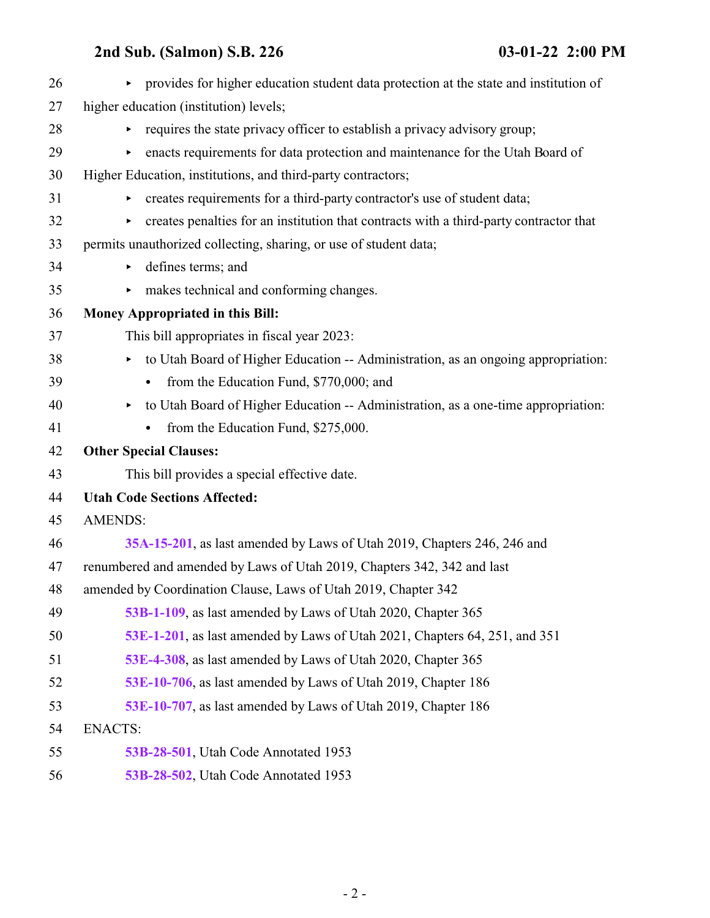| 26 | provides for higher education student data protection at the state and institution of<br>Þ. |
|----|---------------------------------------------------------------------------------------------|
| 27 | higher education (institution) levels;                                                      |
| 28 | requires the state privacy officer to establish a privacy advisory group;<br>▶              |
| 29 | enacts requirements for data protection and maintenance for the Utah Board of               |
| 30 | Higher Education, institutions, and third-party contractors;                                |
| 31 | creates requirements for a third-party contractor's use of student data;<br>▶               |
| 32 | creates penalties for an institution that contracts with a third-party contractor that      |
| 33 | permits unauthorized collecting, sharing, or use of student data;                           |
| 34 | defines terms; and<br>Þ                                                                     |
| 35 | makes technical and conforming changes.<br>▶                                                |
| 36 | Money Appropriated in this Bill:                                                            |
| 37 | This bill appropriates in fiscal year 2023:                                                 |
| 38 | to Utah Board of Higher Education -- Administration, as an ongoing appropriation:<br>▶      |
| 39 | from the Education Fund, \$770,000; and<br>$\bullet$                                        |
| 40 | to Utah Board of Higher Education -- Administration, as a one-time appropriation:<br>▶      |
| 41 | from the Education Fund, \$275,000.<br>٠                                                    |
| 42 | <b>Other Special Clauses:</b>                                                               |
| 43 | This bill provides a special effective date.                                                |
| 44 | <b>Utah Code Sections Affected:</b>                                                         |
| 45 | <b>AMENDS:</b>                                                                              |
| 46 | 35A-15-201, as last amended by Laws of Utah 2019, Chapters 246, 246 and                     |
| 47 | renumbered and amended by Laws of Utah 2019, Chapters 342, 342 and last                     |
| 48 | amended by Coordination Clause, Laws of Utah 2019, Chapter 342                              |
| 49 | 53B-1-109, as last amended by Laws of Utah 2020, Chapter 365                                |
| 50 | 53E-1-201, as last amended by Laws of Utah 2021, Chapters 64, 251, and 351                  |
| 51 | 53E-4-308, as last amended by Laws of Utah 2020, Chapter 365                                |
| 52 | 53E-10-706, as last amended by Laws of Utah 2019, Chapter 186                               |
| 53 | 53E-10-707, as last amended by Laws of Utah 2019, Chapter 186                               |
| 54 | <b>ENACTS:</b>                                                                              |
| 55 | 53B-28-501, Utah Code Annotated 1953                                                        |
| 56 | 53B-28-502, Utah Code Annotated 1953                                                        |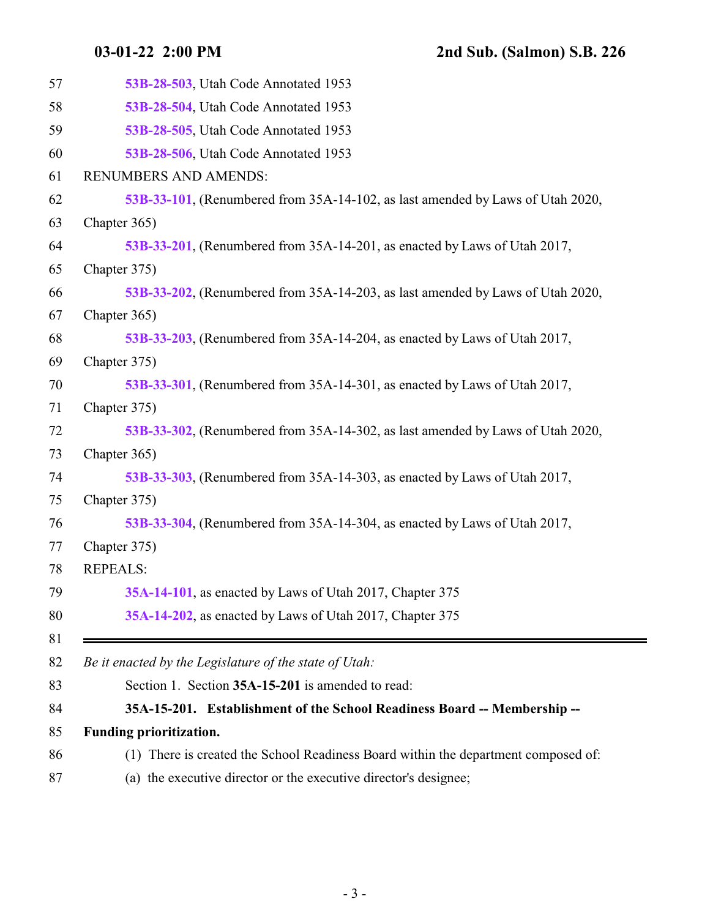<span id="page-2-0"></span>

| 57 | 53B-28-503, Utah Code Annotated 1953                                               |
|----|------------------------------------------------------------------------------------|
| 58 | 53B-28-504, Utah Code Annotated 1953                                               |
| 59 | 53B-28-505, Utah Code Annotated 1953                                               |
| 60 | 53B-28-506, Utah Code Annotated 1953                                               |
| 61 | RENUMBERS AND AMENDS:                                                              |
| 62 | 53B-33-101, (Renumbered from 35A-14-102, as last amended by Laws of Utah 2020,     |
| 63 | Chapter 365)                                                                       |
| 64 | 53B-33-201, (Renumbered from 35A-14-201, as enacted by Laws of Utah 2017,          |
| 65 | Chapter 375)                                                                       |
| 66 | 53B-33-202, (Renumbered from 35A-14-203, as last amended by Laws of Utah 2020,     |
| 67 | Chapter 365)                                                                       |
| 68 | 53B-33-203, (Renumbered from 35A-14-204, as enacted by Laws of Utah 2017,          |
| 69 | Chapter 375)                                                                       |
| 70 | 53B-33-301, (Renumbered from 35A-14-301, as enacted by Laws of Utah 2017,          |
| 71 | Chapter 375)                                                                       |
| 72 | 53B-33-302, (Renumbered from 35A-14-302, as last amended by Laws of Utah 2020,     |
| 73 | Chapter 365)                                                                       |
| 74 | 53B-33-303, (Renumbered from 35A-14-303, as enacted by Laws of Utah 2017,          |
| 75 | Chapter 375)                                                                       |
| 76 | 53B-33-304, (Renumbered from 35A-14-304, as enacted by Laws of Utah 2017,          |
| 77 | Chapter 375)                                                                       |
| 78 | <b>REPEALS:</b>                                                                    |
| 79 | 35A-14-101, as enacted by Laws of Utah 2017, Chapter 375                           |
| 80 | 35A-14-202, as enacted by Laws of Utah 2017, Chapter 375                           |
| 81 |                                                                                    |
| 82 | Be it enacted by the Legislature of the state of Utah:                             |
| 83 | Section 1. Section 35A-15-201 is amended to read:                                  |
| 84 | 35A-15-201. Establishment of the School Readiness Board -- Membership --           |
| 85 | Funding prioritization.                                                            |
| 86 | (1) There is created the School Readiness Board within the department composed of: |
| 87 | (a) the executive director or the executive director's designee;                   |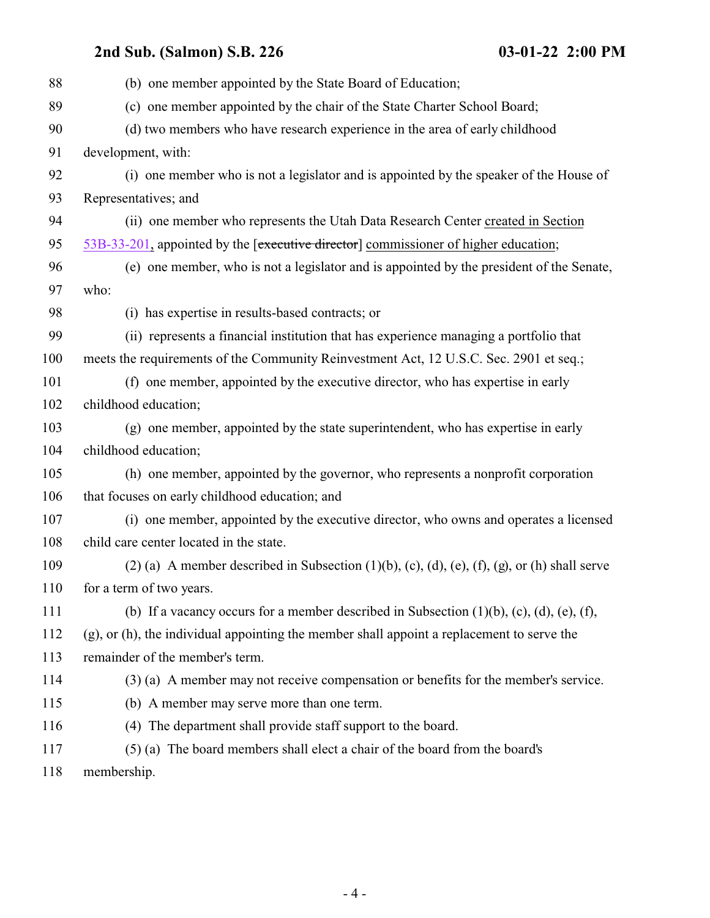| 88  | (b) one member appointed by the State Board of Education;                                                          |
|-----|--------------------------------------------------------------------------------------------------------------------|
| 89  | (c) one member appointed by the chair of the State Charter School Board;                                           |
| 90  | (d) two members who have research experience in the area of early childhood                                        |
| 91  | development, with:                                                                                                 |
| 92  | (i) one member who is not a legislator and is appointed by the speaker of the House of                             |
| 93  | Representatives; and                                                                                               |
| 94  | (ii) one member who represents the Utah Data Research Center created in Section                                    |
| 95  | 53B-33-201, appointed by the [executive director] commissioner of higher education;                                |
| 96  | (e) one member, who is not a legislator and is appointed by the president of the Senate,                           |
| 97  | who:                                                                                                               |
| 98  | (i) has expertise in results-based contracts; or                                                                   |
| 99  | (ii) represents a financial institution that has experience managing a portfolio that                              |
| 100 | meets the requirements of the Community Reinvestment Act, 12 U.S.C. Sec. 2901 et seq.;                             |
| 101 | (f) one member, appointed by the executive director, who has expertise in early                                    |
| 102 | childhood education;                                                                                               |
| 103 | (g) one member, appointed by the state superintendent, who has expertise in early                                  |
| 104 | childhood education;                                                                                               |
| 105 | (h) one member, appointed by the governor, who represents a nonprofit corporation                                  |
| 106 | that focuses on early childhood education; and                                                                     |
| 107 | (i) one member, appointed by the executive director, who owns and operates a licensed                              |
| 108 | child care center located in the state.                                                                            |
| 109 | $(2)$ (a) A member described in Subsection $(1)(b)$ , $(c)$ , $(d)$ , $(e)$ , $(f)$ , $(g)$ , or $(h)$ shall serve |
| 110 | for a term of two years.                                                                                           |
| 111 | (b) If a vacancy occurs for a member described in Subsection $(1)(b)$ , $(c)$ , $(d)$ , $(e)$ , $(f)$ ,            |
| 112 | (g), or (h), the individual appointing the member shall appoint a replacement to serve the                         |
| 113 | remainder of the member's term.                                                                                    |
| 114 | (3) (a) A member may not receive compensation or benefits for the member's service.                                |
| 115 | (b) A member may serve more than one term.                                                                         |
| 116 | (4) The department shall provide staff support to the board.                                                       |
| 117 | (5) (a) The board members shall elect a chair of the board from the board's                                        |
| 118 | membership.                                                                                                        |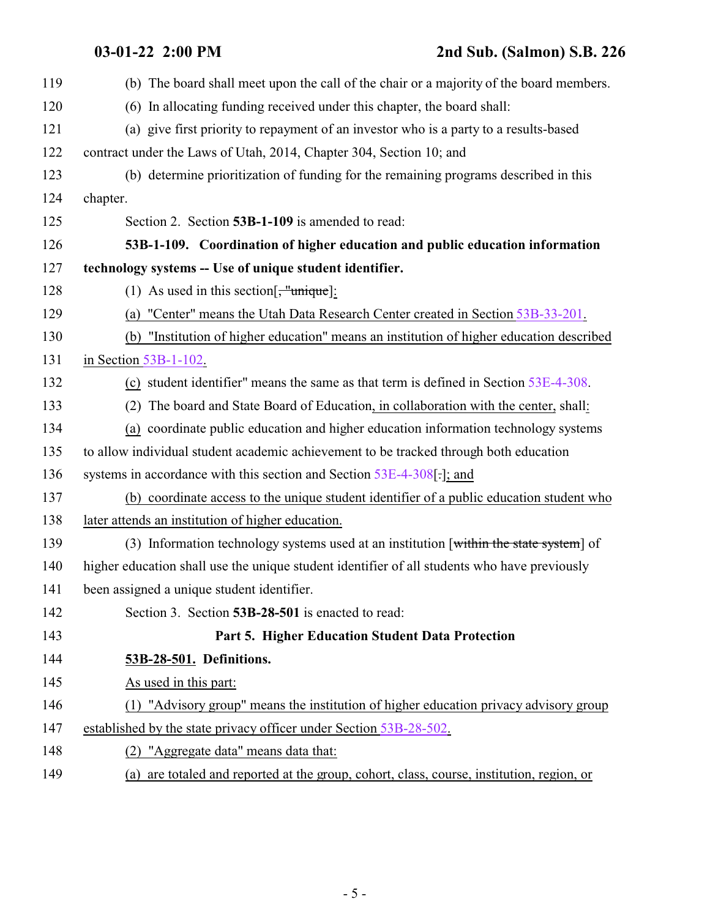<span id="page-4-0"></span>**03-01-22 2:00 PM 2nd Sub. (Salmon) S.B. 226**

<span id="page-4-1"></span>

| 119 | (b) The board shall meet upon the call of the chair or a majority of the board members.      |
|-----|----------------------------------------------------------------------------------------------|
| 120 | (6) In allocating funding received under this chapter, the board shall:                      |
| 121 | (a) give first priority to repayment of an investor who is a party to a results-based        |
| 122 | contract under the Laws of Utah, 2014, Chapter 304, Section 10; and                          |
| 123 | (b) determine prioritization of funding for the remaining programs described in this         |
| 124 | chapter.                                                                                     |
| 125 | Section 2. Section 53B-1-109 is amended to read:                                             |
| 126 | 53B-1-109. Coordination of higher education and public education information                 |
| 127 | technology systems -- Use of unique student identifier.                                      |
| 128 | (1) As used in this section $\left[\frac{1}{2}, \frac{1}{2}\right]$                          |
| 129 | (a) "Center" means the Utah Data Research Center created in Section 53B-33-201.              |
| 130 | "Institution of higher education" means an institution of higher education described<br>(b)  |
| 131 | in Section 53B-1-102.                                                                        |
| 132 | (c) student identifier" means the same as that term is defined in Section $53E-4-308$ .      |
| 133 | The board and State Board of Education, in collaboration with the center, shall:<br>(2)      |
| 134 | (a) coordinate public education and higher education information technology systems          |
| 135 | to allow individual student academic achievement to be tracked through both education        |
| 136 | systems in accordance with this section and Section 53E-4-308[.]; and                        |
| 137 | (b) coordinate access to the unique student identifier of a public education student who     |
| 138 | later attends an institution of higher education.                                            |
| 139 | (3) Information technology systems used at an institution [within the state system] of       |
| 140 | higher education shall use the unique student identifier of all students who have previously |
| 141 | been assigned a unique student identifier.                                                   |
| 142 | Section 3. Section 53B-28-501 is enacted to read:                                            |
| 143 | Part 5. Higher Education Student Data Protection                                             |
| 144 | 53B-28-501. Definitions.                                                                     |
| 145 | As used in this part:                                                                        |
| 146 | (1) "Advisory group" means the institution of higher education privacy advisory group        |
| 147 | established by the state privacy officer under Section 53B-28-502.                           |
| 148 | (2) "Aggregate data" means data that:                                                        |
| 149 | (a) are totaled and reported at the group, cohort, class, course, institution, region, or    |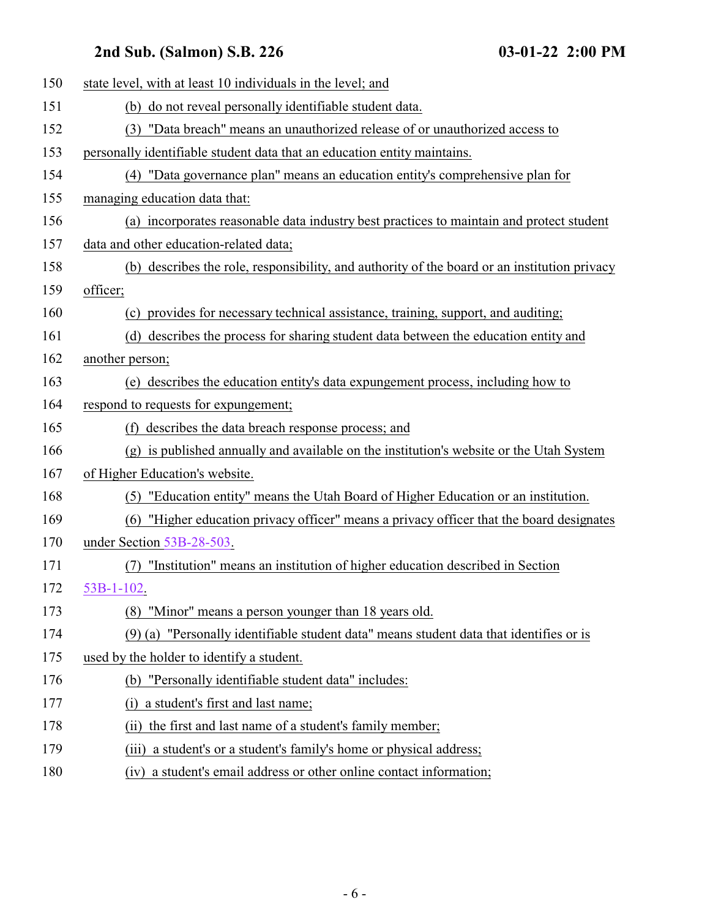| 150 | state level, with at least 10 individuals in the level; and                                  |
|-----|----------------------------------------------------------------------------------------------|
| 151 | (b) do not reveal personally identifiable student data.                                      |
| 152 | "Data breach" means an unauthorized release of or unauthorized access to<br>(3)              |
| 153 | personally identifiable student data that an education entity maintains.                     |
| 154 | (4) "Data governance plan" means an education entity's comprehensive plan for                |
| 155 | managing education data that:                                                                |
| 156 | (a) incorporates reasonable data industry best practices to maintain and protect student     |
| 157 | data and other education-related data;                                                       |
| 158 | (b) describes the role, responsibility, and authority of the board or an institution privacy |
| 159 | officer;                                                                                     |
| 160 | (c) provides for necessary technical assistance, training, support, and auditing;            |
| 161 | (d) describes the process for sharing student data between the education entity and          |
| 162 | another person;                                                                              |
| 163 | (e) describes the education entity's data expungement process, including how to              |
| 164 | respond to requests for expungement;                                                         |
| 165 | (f) describes the data breach response process; and                                          |
| 166 | (g) is published annually and available on the institution's website or the Utah System      |
| 167 | of Higher Education's website.                                                               |
| 168 | (5) "Education entity" means the Utah Board of Higher Education or an institution.           |
| 169 | "Higher education privacy officer" means a privacy officer that the board designates<br>(6)  |
| 170 | under Section 53B-28-503.                                                                    |
| 171 | "Institution" means an institution of higher education described in Section<br>(7)           |
| 172 | $53B-1-102$ .                                                                                |
| 173 | (8) "Minor" means a person younger than 18 years old.                                        |
| 174 | (9) (a) "Personally identifiable student data" means student data that identifies or is      |
| 175 | used by the holder to identify a student.                                                    |
| 176 | (b) "Personally identifiable student data" includes:                                         |
| 177 | a student's first and last name;<br>(i)                                                      |
| 178 | the first and last name of a student's family member;<br>(ii)                                |
| 179 | a student's or a student's family's home or physical address;<br>(iii)                       |
| 180 | (iv) a student's email address or other online contact information;                          |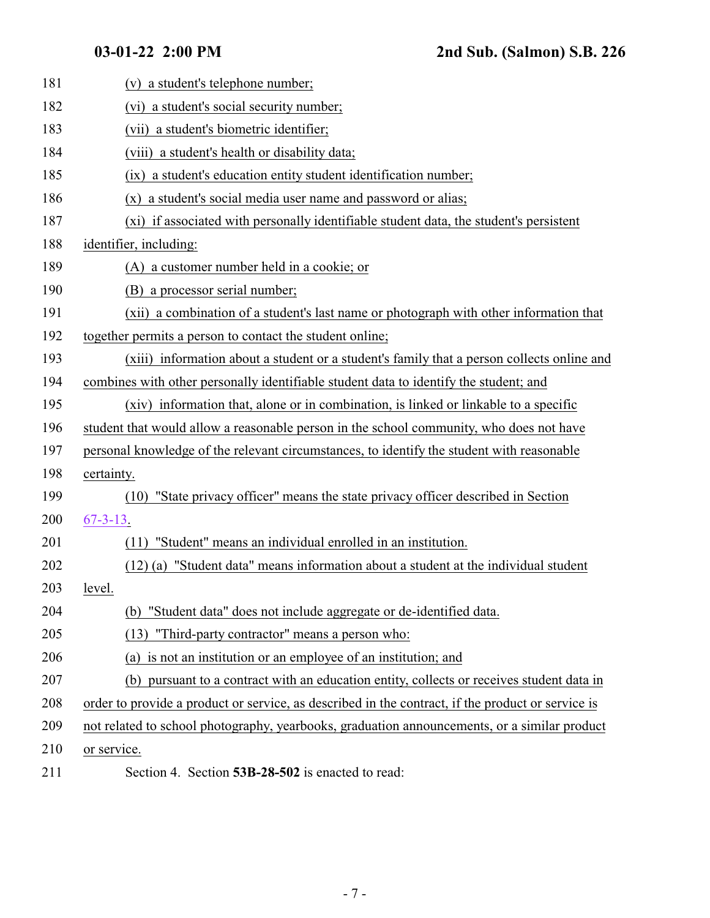<span id="page-6-0"></span>

| 181 | (v) a student's telephone number;                                                                 |
|-----|---------------------------------------------------------------------------------------------------|
| 182 | (vi) a student's social security number;                                                          |
| 183 | (vii) a student's biometric identifier;                                                           |
| 184 | (viii) a student's health or disability data;                                                     |
| 185 | a student's education entity student identification number;<br>(ix)                               |
| 186 | (x) a student's social media user name and password or alias;                                     |
| 187 | (xi) if associated with personally identifiable student data, the student's persistent            |
| 188 | identifier, including:                                                                            |
| 189 | (A) a customer number held in a cookie; or                                                        |
| 190 | (B) a processor serial number;                                                                    |
| 191 | (xii) a combination of a student's last name or photograph with other information that            |
| 192 | together permits a person to contact the student online;                                          |
| 193 | (xiii) information about a student or a student's family that a person collects online and        |
| 194 | combines with other personally identifiable student data to identify the student; and             |
| 195 | (xiv) information that, alone or in combination, is linked or linkable to a specific              |
| 196 | student that would allow a reasonable person in the school community, who does not have           |
| 197 | personal knowledge of the relevant circumstances, to identify the student with reasonable         |
| 198 | certainty.                                                                                        |
| 199 | "State privacy officer" means the state privacy officer described in Section<br>(10)              |
| 200 | $67 - 3 - 13$ .                                                                                   |
| 201 | "Student" means an individual enrolled in an institution.<br>(11)                                 |
| 202 | (12) (a) "Student data" means information about a student at the individual student               |
| 203 | level.                                                                                            |
| 204 | (b) "Student data" does not include aggregate or de-identified data.                              |
| 205 | (13) "Third-party contractor" means a person who:                                                 |
| 206 | (a) is not an institution or an employee of an institution; and                                   |
| 207 | (b) pursuant to a contract with an education entity, collects or receives student data in         |
| 208 | order to provide a product or service, as described in the contract, if the product or service is |
| 209 | not related to school photography, yearbooks, graduation announcements, or a similar product      |
| 210 | or service.                                                                                       |
| 211 | Section 4. Section 53B-28-502 is enacted to read:                                                 |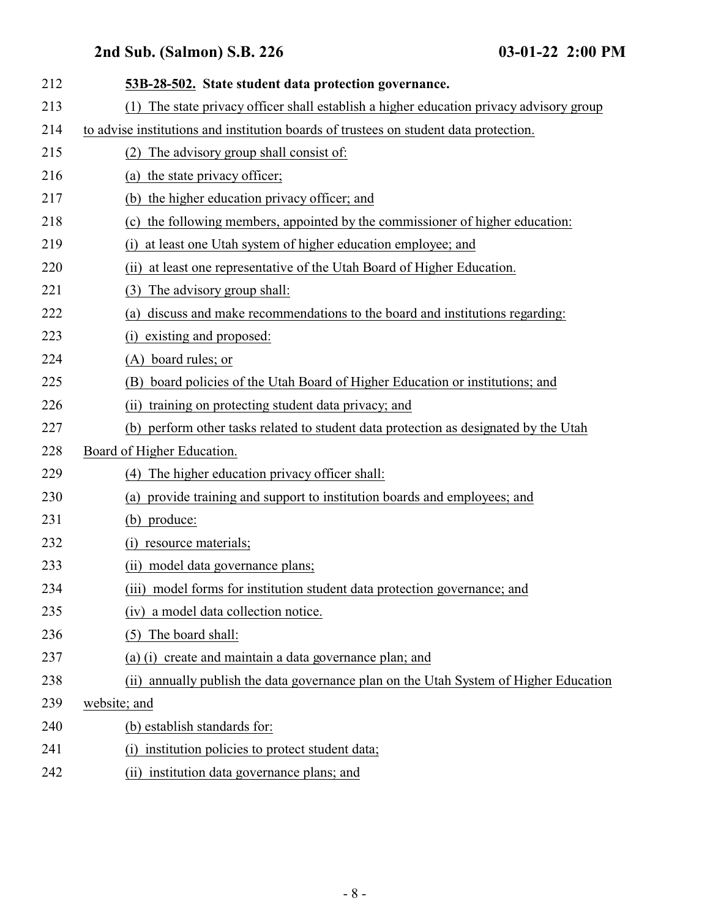| 212 | 53B-28-502. State student data protection governance.                                   |
|-----|-----------------------------------------------------------------------------------------|
| 213 | (1) The state privacy officer shall establish a higher education privacy advisory group |
| 214 | to advise institutions and institution boards of trustees on student data protection.   |
| 215 | The advisory group shall consist of:<br>(2)                                             |
| 216 | (a) the state privacy officer;                                                          |
| 217 | (b) the higher education privacy officer; and                                           |
| 218 | (c) the following members, appointed by the commissioner of higher education:           |
| 219 | at least one Utah system of higher education employee; and<br>(i)                       |
| 220 | at least one representative of the Utah Board of Higher Education.<br>(ii)              |
| 221 | The advisory group shall:<br>(3)                                                        |
| 222 | discuss and make recommendations to the board and institutions regarding:<br>(a)        |
| 223 | existing and proposed:<br>(i)                                                           |
| 224 | (A) board rules; or                                                                     |
| 225 | board policies of the Utah Board of Higher Education or institutions; and<br>(B)        |
| 226 | training on protecting student data privacy; and<br>(ii)                                |
| 227 | perform other tasks related to student data protection as designated by the Utah<br>(b) |
| 228 | Board of Higher Education.                                                              |
| 229 | The higher education privacy officer shall:<br>(4)                                      |
| 230 | provide training and support to institution boards and employees; and<br>(a)            |
| 231 | (b) produce:                                                                            |
| 232 | resource materials;<br>(i)                                                              |
| 233 | (ii) model data governance plans;                                                       |
| 234 | (iii) model forms for institution student data protection governance; and               |
| 235 | (iv) a model data collection notice.                                                    |
| 236 | The board shall:<br>(5)                                                                 |
| 237 | (a) (i) create and maintain a data governance plan; and                                 |
| 238 | (ii) annually publish the data governance plan on the Utah System of Higher Education   |
| 239 | website; and                                                                            |
| 240 | (b) establish standards for:                                                            |
| 241 | institution policies to protect student data;<br>(i)                                    |
| 242 | (ii) institution data governance plans; and                                             |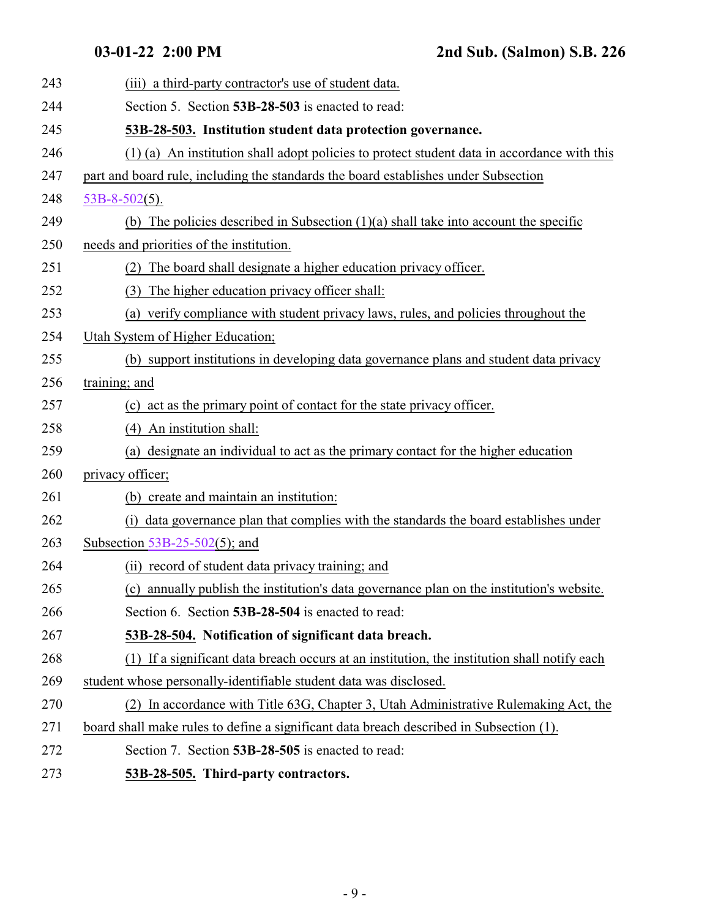<span id="page-8-2"></span><span id="page-8-1"></span><span id="page-8-0"></span>

| 243 | (iii) a third-party contractor's use of student data.                                        |
|-----|----------------------------------------------------------------------------------------------|
| 244 | Section 5. Section 53B-28-503 is enacted to read:                                            |
| 245 | 53B-28-503. Institution student data protection governance.                                  |
| 246 | (1) (a) An institution shall adopt policies to protect student data in accordance with this  |
| 247 | part and board rule, including the standards the board establishes under Subsection          |
| 248 | $53B-8-502(5)$ .                                                                             |
| 249 | (b) The policies described in Subsection $(1)(a)$ shall take into account the specific       |
| 250 | needs and priorities of the institution.                                                     |
| 251 | The board shall designate a higher education privacy officer.                                |
| 252 | The higher education privacy officer shall:<br>(3)                                           |
| 253 | (a) verify compliance with student privacy laws, rules, and policies throughout the          |
| 254 | Utah System of Higher Education;                                                             |
| 255 | (b) support institutions in developing data governance plans and student data privacy        |
| 256 | training; and                                                                                |
| 257 | (c) act as the primary point of contact for the state privacy officer.                       |
| 258 | (4) An institution shall:                                                                    |
| 259 | (a) designate an individual to act as the primary contact for the higher education           |
| 260 | privacy officer;                                                                             |
| 261 | (b) create and maintain an institution:                                                      |
| 262 | data governance plan that complies with the standards the board establishes under<br>(i)     |
| 263 | Subsection $53B-25-502(5)$ ; and                                                             |
| 264 | (ii) record of student data privacy training; and                                            |
| 265 | (c) annually publish the institution's data governance plan on the institution's website.    |
| 266 | Section 6. Section 53B-28-504 is enacted to read:                                            |
| 267 | 53B-28-504. Notification of significant data breach.                                         |
| 268 | (1) If a significant data breach occurs at an institution, the institution shall notify each |
| 269 | student whose personally-identifiable student data was disclosed.                            |
| 270 | (2) In accordance with Title 63G, Chapter 3, Utah Administrative Rulemaking Act, the         |
| 271 | board shall make rules to define a significant data breach described in Subsection (1).      |
| 272 | Section 7. Section 53B-28-505 is enacted to read:                                            |
| 273 | 53B-28-505. Third-party contractors.                                                         |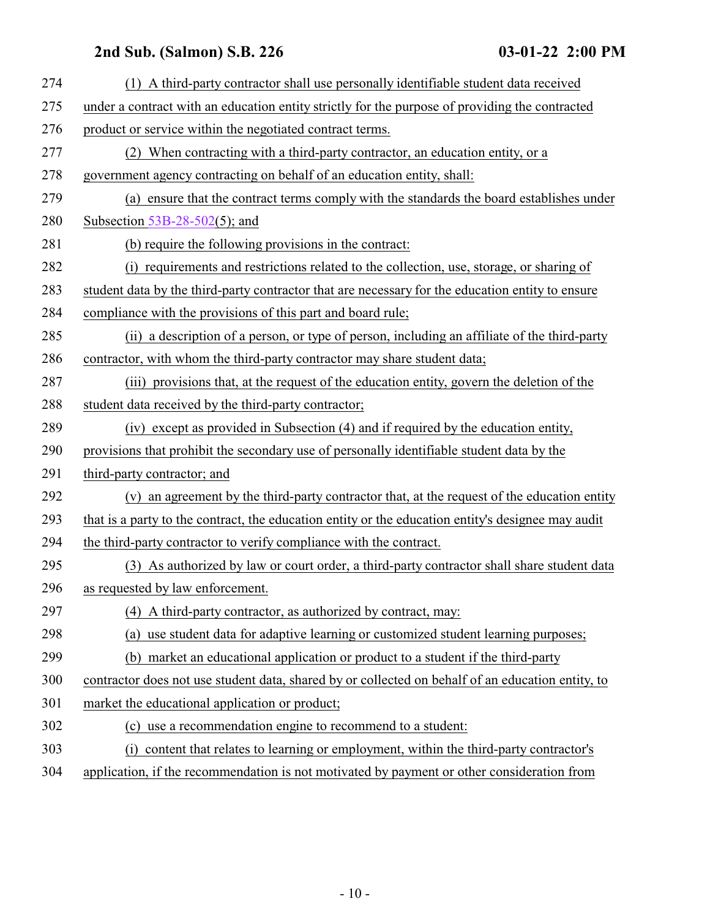| 274 | (1) A third-party contractor shall use personally identifiable student data received               |
|-----|----------------------------------------------------------------------------------------------------|
| 275 | under a contract with an education entity strictly for the purpose of providing the contracted     |
| 276 | product or service within the negotiated contract terms.                                           |
| 277 | (2) When contracting with a third-party contractor, an education entity, or a                      |
| 278 | government agency contracting on behalf of an education entity, shall:                             |
| 279 | (a) ensure that the contract terms comply with the standards the board establishes under           |
| 280 | Subsection $53B-28-502(5)$ ; and                                                                   |
| 281 | (b) require the following provisions in the contract:                                              |
| 282 | (i) requirements and restrictions related to the collection, use, storage, or sharing of           |
| 283 | student data by the third-party contractor that are necessary for the education entity to ensure   |
| 284 | compliance with the provisions of this part and board rule;                                        |
| 285 | (ii) a description of a person, or type of person, including an affiliate of the third-party       |
| 286 | contractor, with whom the third-party contractor may share student data;                           |
| 287 | (iii) provisions that, at the request of the education entity, govern the deletion of the          |
| 288 | student data received by the third-party contractor;                                               |
| 289 | (iv) except as provided in Subsection (4) and if required by the education entity,                 |
| 290 | provisions that prohibit the secondary use of personally identifiable student data by the          |
| 291 | third-party contractor; and                                                                        |
| 292 | (v) an agreement by the third-party contractor that, at the request of the education entity        |
| 293 | that is a party to the contract, the education entity or the education entity's designee may audit |
| 294 | the third-party contractor to verify compliance with the contract.                                 |
| 295 | (3) As authorized by law or court order, a third-party contractor shall share student data         |
| 296 | as requested by law enforcement.                                                                   |
| 297 | (4) A third-party contractor, as authorized by contract, may:                                      |
| 298 | (a) use student data for adaptive learning or customized student learning purposes;                |
| 299 | (b) market an educational application or product to a student if the third-party                   |
| 300 | contractor does not use student data, shared by or collected on behalf of an education entity, to  |
| 301 | market the educational application or product;                                                     |
| 302 | (c) use a recommendation engine to recommend to a student:                                         |
| 303 | content that relates to learning or employment, within the third-party contractor's<br>(i)         |
| 304 | application, if the recommendation is not motivated by payment or other consideration from         |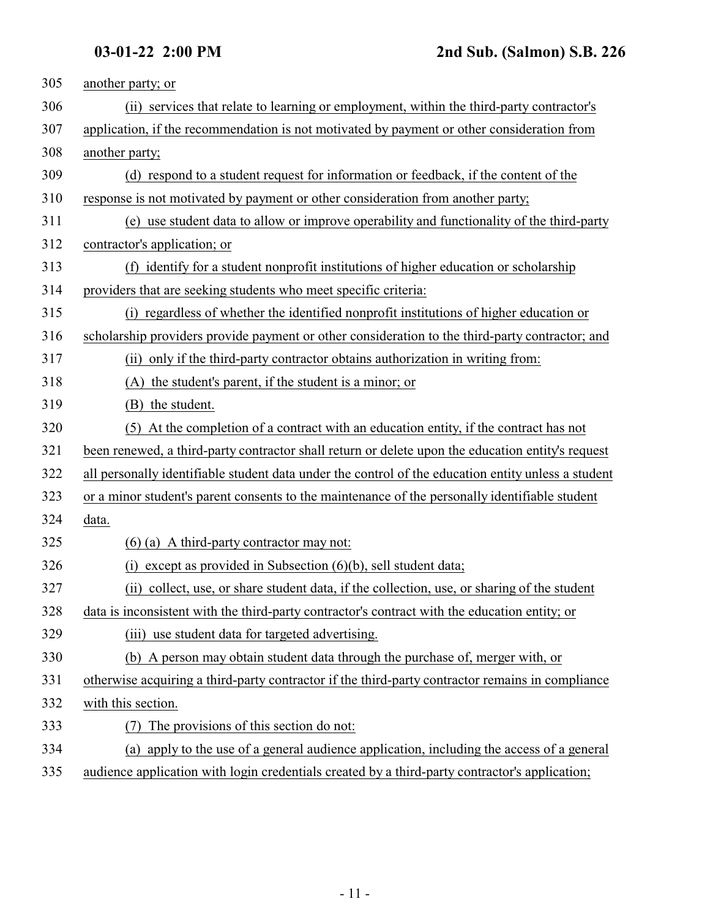| 305 | another party; or                                                                                   |
|-----|-----------------------------------------------------------------------------------------------------|
| 306 | (ii) services that relate to learning or employment, within the third-party contractor's            |
| 307 | application, if the recommendation is not motivated by payment or other consideration from          |
| 308 | another party;                                                                                      |
| 309 | (d) respond to a student request for information or feedback, if the content of the                 |
| 310 | response is not motivated by payment or other consideration from another party;                     |
| 311 | (e) use student data to allow or improve operability and functionality of the third-party           |
| 312 | contractor's application; or                                                                        |
| 313 | (f) identify for a student nonprofit institutions of higher education or scholarship                |
| 314 | providers that are seeking students who meet specific criteria:                                     |
| 315 | (i) regardless of whether the identified nonprofit institutions of higher education or              |
| 316 | scholarship providers provide payment or other consideration to the third-party contractor; and     |
| 317 | (ii) only if the third-party contractor obtains authorization in writing from:                      |
| 318 | (A) the student's parent, if the student is a minor; or                                             |
| 319 | (B) the student.                                                                                    |
| 320 | (5) At the completion of a contract with an education entity, if the contract has not               |
| 321 | been renewed, a third-party contractor shall return or delete upon the education entity's request   |
| 322 | all personally identifiable student data under the control of the education entity unless a student |
| 323 | or a minor student's parent consents to the maintenance of the personally identifiable student      |
| 324 | data.                                                                                               |
| 325 | $(6)$ (a) A third-party contractor may not:                                                         |
| 326 | except as provided in Subsection $(6)(b)$ , sell student data;<br>(i)                               |
| 327 | (ii) collect, use, or share student data, if the collection, use, or sharing of the student         |
| 328 | data is inconsistent with the third-party contractor's contract with the education entity; or       |
| 329 | (iii) use student data for targeted advertising.                                                    |
| 330 | (b) A person may obtain student data through the purchase of, merger with, or                       |
| 331 | otherwise acquiring a third-party contractor if the third-party contractor remains in compliance    |
| 332 | with this section.                                                                                  |
| 333 | The provisions of this section do not:                                                              |
| 334 | (a) apply to the use of a general audience application, including the access of a general           |
| 335 | audience application with login credentials created by a third-party contractor's application;      |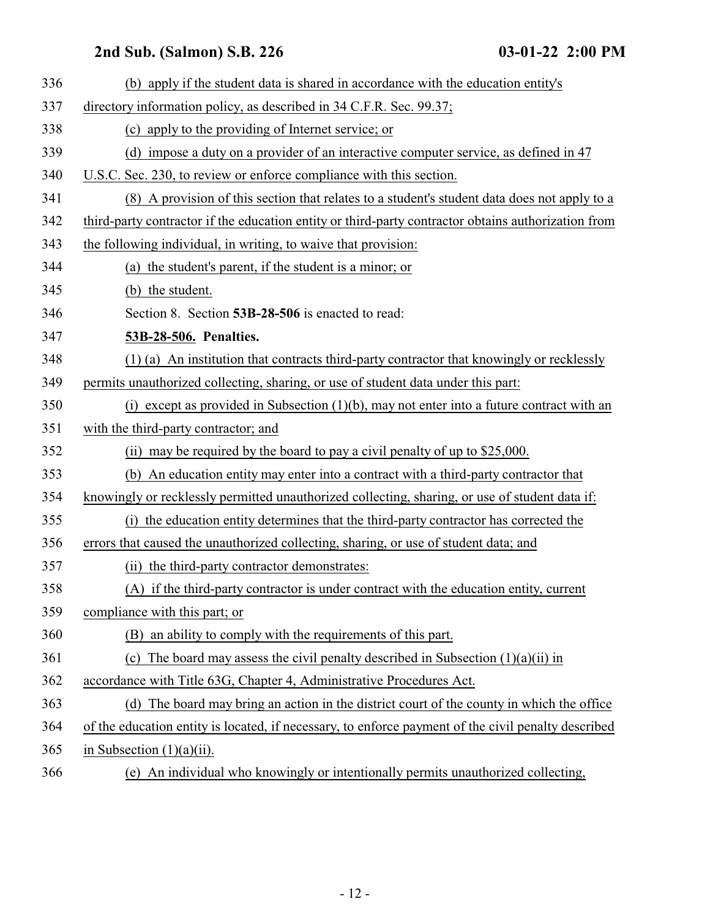<span id="page-11-0"></span>

| 336 | (b) apply if the student data is shared in accordance with the education entity's                   |
|-----|-----------------------------------------------------------------------------------------------------|
| 337 | directory information policy, as described in 34 C.F.R. Sec. 99.37;                                 |
| 338 | (c) apply to the providing of Internet service; or                                                  |
| 339 | (d) impose a duty on a provider of an interactive computer service, as defined in 47                |
| 340 | U.S.C. Sec. 230, to review or enforce compliance with this section.                                 |
| 341 | (8) A provision of this section that relates to a student's student data does not apply to a        |
| 342 | third-party contractor if the education entity or third-party contractor obtains authorization from |
| 343 | the following individual, in writing, to waive that provision:                                      |
| 344 | (a) the student's parent, if the student is a minor; or                                             |
| 345 | (b) the student.                                                                                    |
| 346 | Section 8. Section 53B-28-506 is enacted to read:                                                   |
| 347 | 53B-28-506. Penalties.                                                                              |
| 348 | (1) (a) An institution that contracts third-party contractor that knowingly or recklessly           |
| 349 | permits unauthorized collecting, sharing, or use of student data under this part:                   |
| 350 | (i) except as provided in Subsection $(1)(b)$ , may not enter into a future contract with an        |
| 351 | with the third-party contractor; and                                                                |
| 352 | (ii) may be required by the board to pay a civil penalty of up to \$25,000.                         |
| 353 | (b) An education entity may enter into a contract with a third-party contractor that                |
| 354 | knowingly or recklessly permitted unauthorized collecting, sharing, or use of student data if:      |
| 355 | (i) the education entity determines that the third-party contractor has corrected the               |
| 356 | errors that caused the unauthorized collecting, sharing, or use of student data; and                |
| 357 | (ii) the third-party contractor demonstrates:                                                       |
| 358 | (A) if the third-party contractor is under contract with the education entity, current              |
| 359 | compliance with this part; or                                                                       |
| 360 | (B) an ability to comply with the requirements of this part.                                        |
| 361 | (c) The board may assess the civil penalty described in Subsection $(1)(a)(ii)$ in                  |
| 362 | accordance with Title 63G, Chapter 4, Administrative Procedures Act.                                |
| 363 | (d) The board may bring an action in the district court of the county in which the office           |
| 364 | of the education entity is located, if necessary, to enforce payment of the civil penalty described |
| 365 | in Subsection $(1)(a)(ii)$ .                                                                        |
| 366 | (e) An individual who knowingly or intentionally permits unauthorized collecting,                   |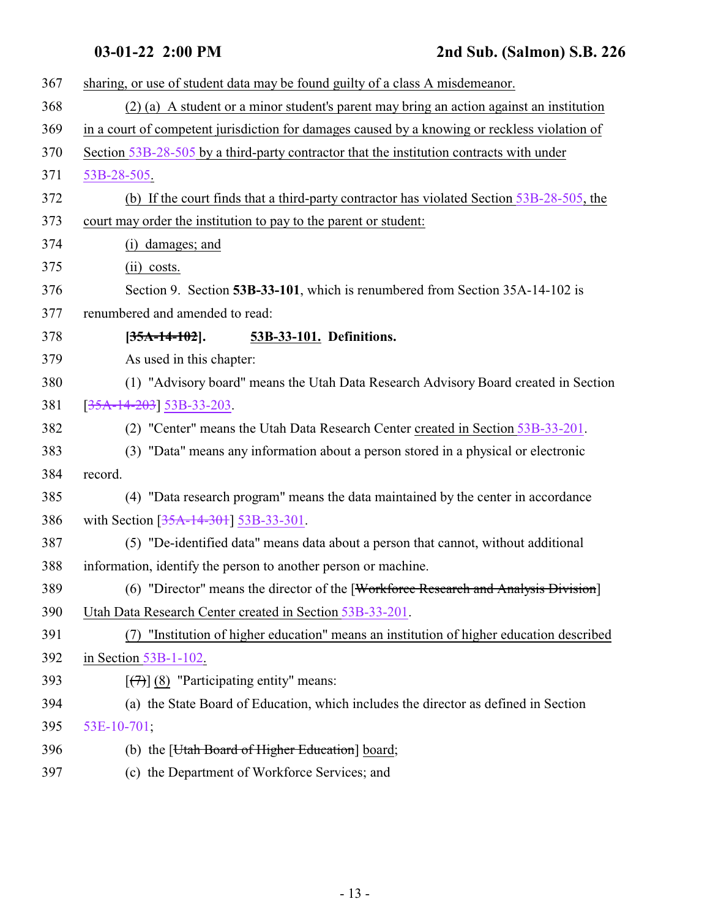<span id="page-12-0"></span>

| 367 | sharing, or use of student data may be found guilty of a class A misdemeanor.                 |
|-----|-----------------------------------------------------------------------------------------------|
| 368 | (2) (a) A student or a minor student's parent may bring an action against an institution      |
| 369 | in a court of competent jurisdiction for damages caused by a knowing or reckless violation of |
| 370 | Section 53B-28-505 by a third-party contractor that the institution contracts with under      |
| 371 | 53B-28-505.                                                                                   |
| 372 | (b) If the court finds that a third-party contractor has violated Section 53B-28-505, the     |
| 373 | court may order the institution to pay to the parent or student:                              |
| 374 | (i) damages; and                                                                              |
| 375 | $(ii) \; \text{costs}.$                                                                       |
| 376 | Section 9. Section 53B-33-101, which is renumbered from Section 35A-14-102 is                 |
| 377 | renumbered and amended to read:                                                               |
| 378 | $[35A-14-102]$ .<br>53B-33-101. Definitions.                                                  |
| 379 | As used in this chapter:                                                                      |
| 380 | (1) "Advisory board" means the Utah Data Research Advisory Board created in Section           |
| 381 | $[35A-14-203]$ 53B-33-203.                                                                    |
| 382 | (2) "Center" means the Utah Data Research Center created in Section 53B-33-201.               |
| 383 | (3) "Data" means any information about a person stored in a physical or electronic            |
| 384 | record.                                                                                       |
| 385 | (4) "Data research program" means the data maintained by the center in accordance             |
| 386 | with Section [35A-14-301] 53B-33-301.                                                         |
| 387 | (5) "De-identified data" means data about a person that cannot, without additional            |
| 388 | information, identify the person to another person or machine.                                |
| 389 | (6) "Director" means the director of the [Workforce Research and Analysis Division]           |
| 390 | Utah Data Research Center created in Section 53B-33-201.                                      |
| 391 | "Institution of higher education" means an institution of higher education described          |
| 392 | in Section $53B-1-102$ .                                                                      |
| 393 | $[\overline{77}]$ (8) "Participating entity" means:                                           |
| 394 | (a) the State Board of Education, which includes the director as defined in Section           |
| 395 | 53E-10-701;                                                                                   |
| 396 | (b) the [ <i>Utah Board of Higher Education</i> ] board;                                      |
| 397 | (c) the Department of Workforce Services; and                                                 |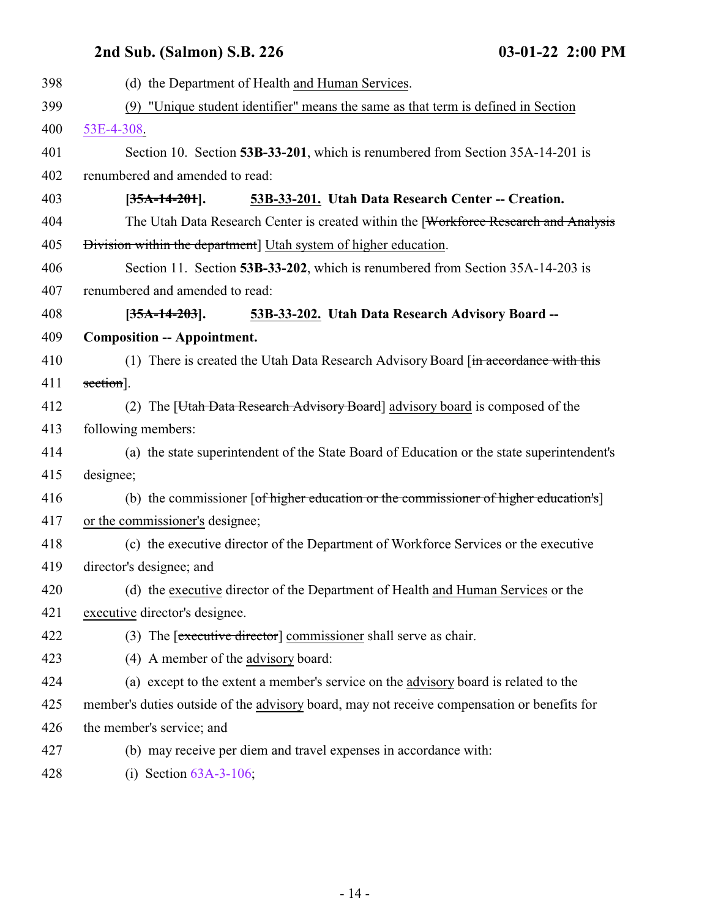### **2nd Sub. (Salmon) S.B. 226**

<span id="page-13-1"></span><span id="page-13-0"></span>

| 398 | (d) the Department of Health and Human Services.                                            |
|-----|---------------------------------------------------------------------------------------------|
| 399 | "Unique student identifier" means the same as that term is defined in Section<br>(9)        |
| 400 | 53E-4-308.                                                                                  |
| 401 | Section 10. Section 53B-33-201, which is renumbered from Section 35A-14-201 is              |
| 402 | renumbered and amended to read:                                                             |
| 403 | 53B-33-201. Utah Data Research Center -- Creation.<br>$[35A-14-201]$ .                      |
| 404 | The Utah Data Research Center is created within the [Workforce Research and Analysis        |
| 405 | Division within the department] Utah system of higher education.                            |
| 406 | Section 11. Section 53B-33-202, which is renumbered from Section 35A-14-203 is              |
| 407 | renumbered and amended to read:                                                             |
| 408 | 53B-33-202. Utah Data Research Advisory Board --<br>$[35A-14-203]$ .                        |
| 409 | <b>Composition -- Appointment.</b>                                                          |
| 410 | (1) There is created the Utah Data Research Advisory Board [in accordance with this         |
| 411 | section].                                                                                   |
| 412 | (2) The [ <i>Utah Data Research Advisory Board</i> ] advisory board is composed of the      |
| 413 | following members:                                                                          |
| 414 | (a) the state superintendent of the State Board of Education or the state superintendent's  |
| 415 | designee;                                                                                   |
| 416 | (b) the commissioner [of higher education or the commissioner of higher education's]        |
| 417 | or the commissioner's designee;                                                             |
| 418 | (c) the executive director of the Department of Workforce Services or the executive         |
| 419 | director's designee; and                                                                    |
| 420 | (d) the executive director of the Department of Health and Human Services or the            |
| 421 | executive director's designee.                                                              |
| 422 | (3) The [executive director] commissioner shall serve as chair.                             |
| 423 | (4) A member of the advisory board:                                                         |
| 424 | (a) except to the extent a member's service on the advisory board is related to the         |
| 425 | member's duties outside of the advisory board, may not receive compensation or benefits for |
| 426 | the member's service; and                                                                   |
| 427 | (b) may receive per diem and travel expenses in accordance with:                            |
| 428 | (i) Section $63A-3-106$ ;                                                                   |

- 14 -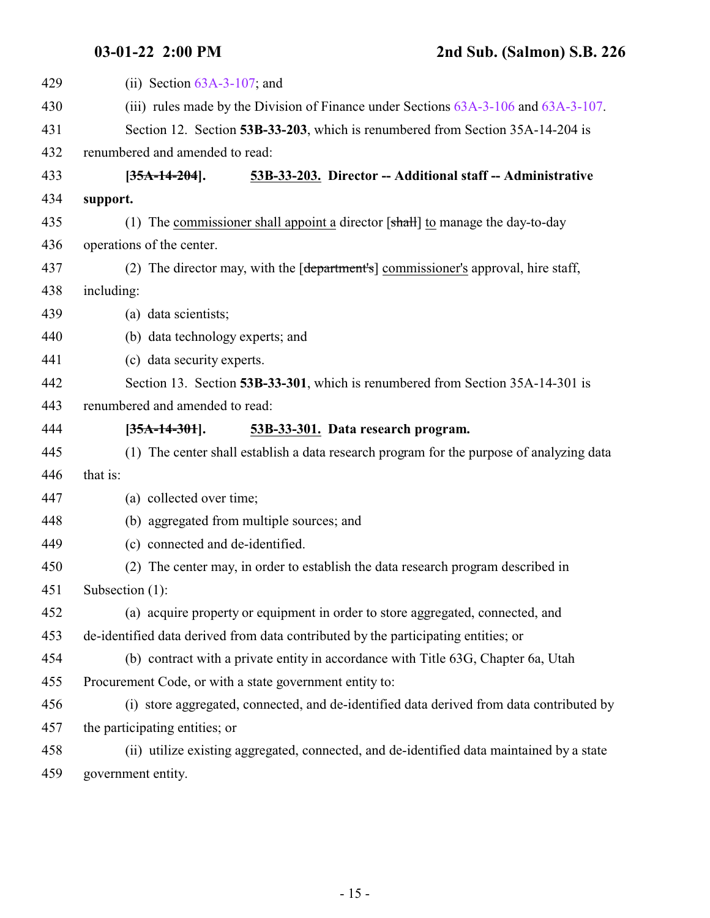<span id="page-14-1"></span><span id="page-14-0"></span>

| 429 | (ii) Section $63A-3-107$ ; and                                                            |
|-----|-------------------------------------------------------------------------------------------|
| 430 | (iii) rules made by the Division of Finance under Sections $63A-3-106$ and $63A-3-107$ .  |
| 431 | Section 12. Section 53B-33-203, which is renumbered from Section 35A-14-204 is            |
| 432 | renumbered and amended to read:                                                           |
| 433 | 53B-33-203. Director -- Additional staff -- Administrative<br>$[35A-14-204]$ .            |
| 434 | support.                                                                                  |
| 435 | (1) The commissioner shall appoint a director $[\text{shall}]$ to manage the day-to-day   |
| 436 | operations of the center.                                                                 |
| 437 | (2) The director may, with the [department's] commissioner's approval, hire staff,        |
| 438 | including:                                                                                |
| 439 | (a) data scientists;                                                                      |
| 440 | (b) data technology experts; and                                                          |
| 441 | (c) data security experts.                                                                |
| 442 | Section 13. Section 53B-33-301, which is renumbered from Section 35A-14-301 is            |
| 443 | renumbered and amended to read:                                                           |
| 444 | 53B-33-301. Data research program.<br>$[35A-14-301]$ .                                    |
| 445 | (1) The center shall establish a data research program for the purpose of analyzing data  |
| 446 | that is:                                                                                  |
| 447 | (a) collected over time;                                                                  |
| 448 | (b) aggregated from multiple sources; and                                                 |
| 449 | (c) connected and de-identified.                                                          |
| 450 | (2) The center may, in order to establish the data research program described in          |
| 451 | Subsection $(1)$ :                                                                        |
| 452 | (a) acquire property or equipment in order to store aggregated, connected, and            |
| 453 | de-identified data derived from data contributed by the participating entities; or        |
| 454 | (b) contract with a private entity in accordance with Title 63G, Chapter 6a, Utah         |
| 455 | Procurement Code, or with a state government entity to:                                   |
| 456 | (i) store aggregated, connected, and de-identified data derived from data contributed by  |
| 457 | the participating entities; or                                                            |
| 458 | (ii) utilize existing aggregated, connected, and de-identified data maintained by a state |
| 459 | government entity.                                                                        |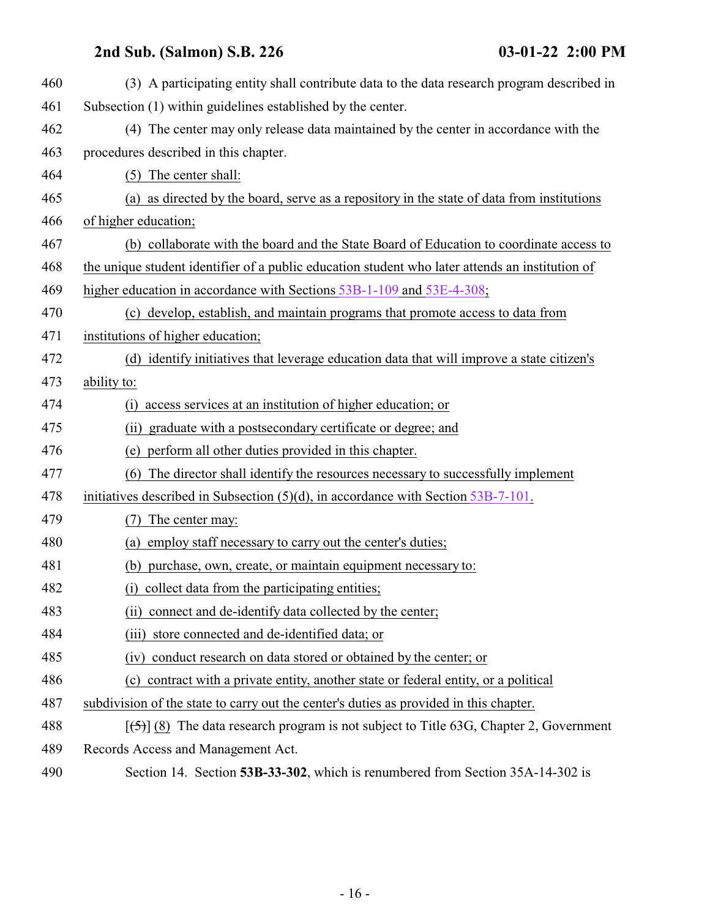<span id="page-15-0"></span>

| 460 | (3) A participating entity shall contribute data to the data research program described in      |
|-----|-------------------------------------------------------------------------------------------------|
| 461 | Subsection (1) within guidelines established by the center.                                     |
| 462 | (4) The center may only release data maintained by the center in accordance with the            |
| 463 | procedures described in this chapter.                                                           |
| 464 | (5) The center shall:                                                                           |
| 465 | (a) as directed by the board, serve as a repository in the state of data from institutions      |
| 466 | of higher education;                                                                            |
| 467 | (b) collaborate with the board and the State Board of Education to coordinate access to         |
| 468 | the unique student identifier of a public education student who later attends an institution of |
| 469 | higher education in accordance with Sections 53B-1-109 and 53E-4-308;                           |
| 470 | (c) develop, establish, and maintain programs that promote access to data from                  |
| 471 | institutions of higher education;                                                               |
| 472 | (d) identify initiatives that leverage education data that will improve a state citizen's       |
| 473 | ability to:                                                                                     |
| 474 | access services at an institution of higher education; or<br>(i)                                |
| 475 | (ii) graduate with a postsecondary certificate or degree; and                                   |
| 476 | (e) perform all other duties provided in this chapter.                                          |
| 477 | The director shall identify the resources necessary to successfully implement<br>(6)            |
| 478 | initiatives described in Subsection $(5)(d)$ , in accordance with Section $53B-7-101$ .         |
| 479 | The center may:                                                                                 |
| 480 | employ staff necessary to carry out the center's duties;<br>(a)                                 |
| 481 | (b) purchase, own, create, or maintain equipment necessary to:                                  |
| 482 | (i) collect data from the participating entities;                                               |
| 483 | (ii) connect and de-identify data collected by the center;                                      |
| 484 | store connected and de-identified data; or<br>(iii)                                             |
| 485 | (iv) conduct research on data stored or obtained by the center; or                              |
| 486 | contract with a private entity, another state or federal entity, or a political<br>(c)          |
| 487 | subdivision of the state to carry out the center's duties as provided in this chapter.          |
| 488 | $[5]$ (8) The data research program is not subject to Title 63G, Chapter 2, Government          |
| 489 | Records Access and Management Act.                                                              |
| 490 | Section 14. Section 53B-33-302, which is renumbered from Section 35A-14-302 is                  |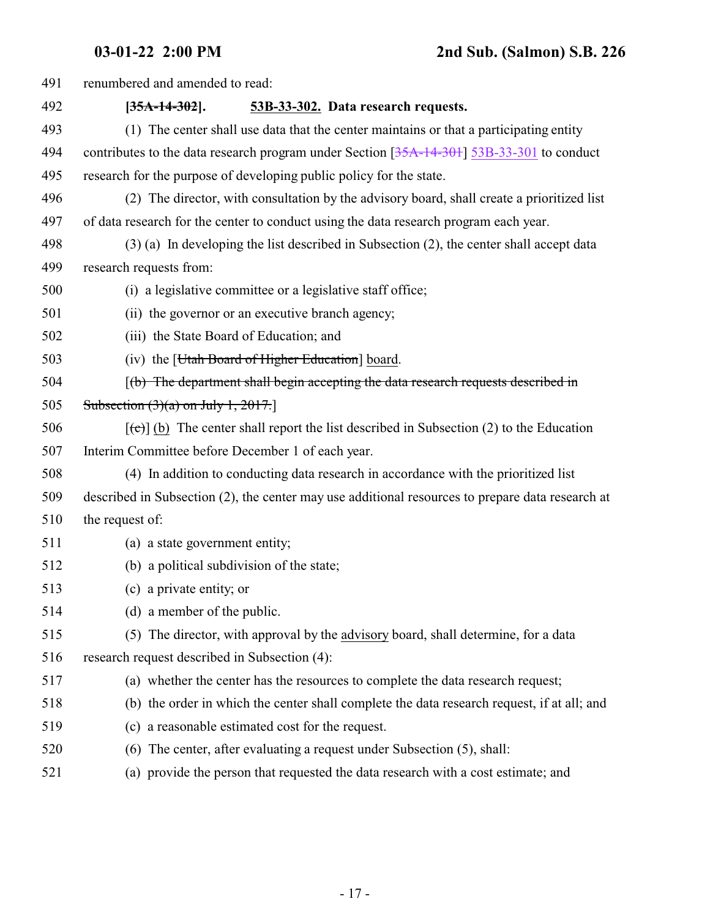| 491 | renumbered and amended to read:                                                                   |
|-----|---------------------------------------------------------------------------------------------------|
| 492 | 53B-33-302. Data research requests.<br>$[35A-14-302]$ .                                           |
| 493 | (1) The center shall use data that the center maintains or that a participating entity            |
| 494 | contributes to the data research program under Section [35A-14-301] 53B-33-301 to conduct         |
| 495 | research for the purpose of developing public policy for the state.                               |
| 496 | (2) The director, with consultation by the advisory board, shall create a prioritized list        |
| 497 | of data research for the center to conduct using the data research program each year.             |
| 498 | $(3)$ (a) In developing the list described in Subsection (2), the center shall accept data        |
| 499 | research requests from:                                                                           |
| 500 | (i) a legislative committee or a legislative staff office;                                        |
| 501 | (ii) the governor or an executive branch agency;                                                  |
| 502 | (iii) the State Board of Education; and                                                           |
| 503 | (iv) the [ <i>Htah Board of Higher Education</i> ] board.                                         |
| 504 | $(f0)$ The department shall begin accepting the data research requests described in               |
| 505 | Subsection $(3)(a)$ on July 1, 2017.                                                              |
| 506 | $[\text{(-c)}]$ (b) The center shall report the list described in Subsection (2) to the Education |
| 507 | Interim Committee before December 1 of each year.                                                 |
| 508 | (4) In addition to conducting data research in accordance with the prioritized list               |
| 509 | described in Subsection (2), the center may use additional resources to prepare data research at  |
| 510 | the request of:                                                                                   |
| 511 | (a) a state government entity;                                                                    |
| 512 | (b) a political subdivision of the state;                                                         |
| 513 | (c) a private entity; or                                                                          |
| 514 | (d) a member of the public.                                                                       |
| 515 | (5) The director, with approval by the advisory board, shall determine, for a data                |
| 516 | research request described in Subsection (4):                                                     |
| 517 | (a) whether the center has the resources to complete the data research request;                   |
| 518 | (b) the order in which the center shall complete the data research request, if at all; and        |
| 519 | (c) a reasonable estimated cost for the request.                                                  |
| 520 | The center, after evaluating a request under Subsection (5), shall:<br>(6)                        |
| 521 | (a) provide the person that requested the data research with a cost estimate; and                 |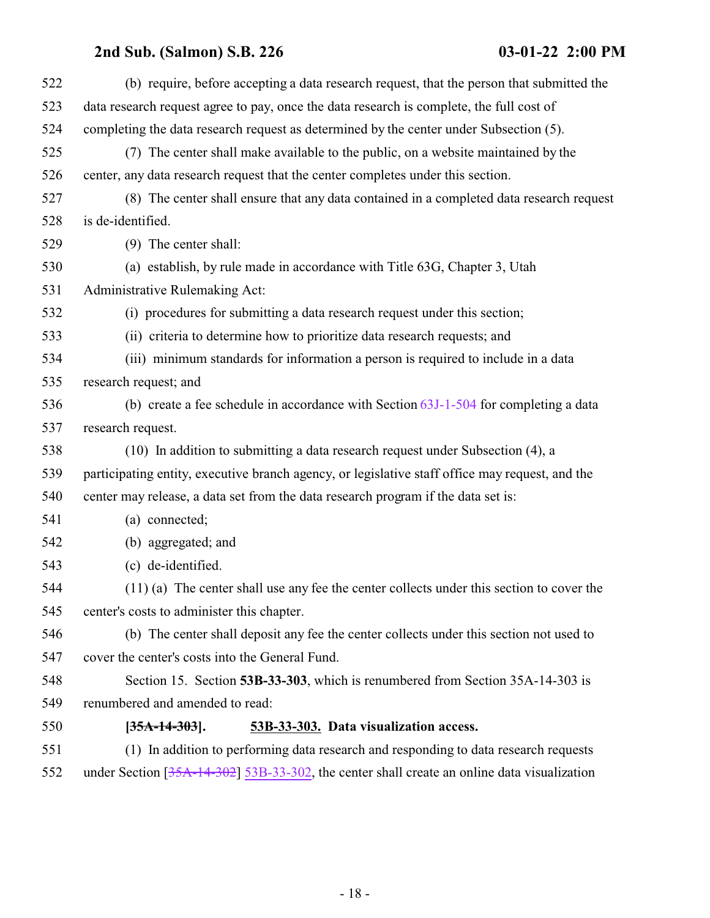<span id="page-17-0"></span>

| 522 | (b) require, before accepting a data research request, that the person that submitted the       |
|-----|-------------------------------------------------------------------------------------------------|
| 523 | data research request agree to pay, once the data research is complete, the full cost of        |
| 524 | completing the data research request as determined by the center under Subsection (5).          |
| 525 | (7) The center shall make available to the public, on a website maintained by the               |
| 526 | center, any data research request that the center completes under this section.                 |
| 527 | (8) The center shall ensure that any data contained in a completed data research request        |
| 528 | is de-identified.                                                                               |
| 529 | (9) The center shall:                                                                           |
| 530 | (a) establish, by rule made in accordance with Title 63G, Chapter 3, Utah                       |
| 531 | Administrative Rulemaking Act:                                                                  |
| 532 | (i) procedures for submitting a data research request under this section;                       |
| 533 | (ii) criteria to determine how to prioritize data research requests; and                        |
| 534 | (iii) minimum standards for information a person is required to include in a data               |
| 535 | research request; and                                                                           |
| 536 | (b) create a fee schedule in accordance with Section $63J-1-504$ for completing a data          |
| 537 | research request.                                                                               |
| 538 | (10) In addition to submitting a data research request under Subsection (4), a                  |
| 539 | participating entity, executive branch agency, or legislative staff office may request, and the |
| 540 | center may release, a data set from the data research program if the data set is:               |
| 541 | (a) connected;                                                                                  |
| 542 | (b) aggregated; and                                                                             |
| 543 | (c) de-identified.                                                                              |
| 544 | $(11)$ (a) The center shall use any fee the center collects under this section to cover the     |
| 545 | center's costs to administer this chapter.                                                      |
| 546 | (b) The center shall deposit any fee the center collects under this section not used to         |
| 547 | cover the center's costs into the General Fund.                                                 |
| 548 | Section 15. Section 53B-33-303, which is renumbered from Section 35A-14-303 is                  |
| 549 | renumbered and amended to read:                                                                 |
| 550 | $[35A-14-303]$ .<br>53B-33-303. Data visualization access.                                      |
| 551 | (1) In addition to performing data research and responding to data research requests            |
| 552 | under Section $[35A-14-302]$ 53B-33-302, the center shall create an online data visualization   |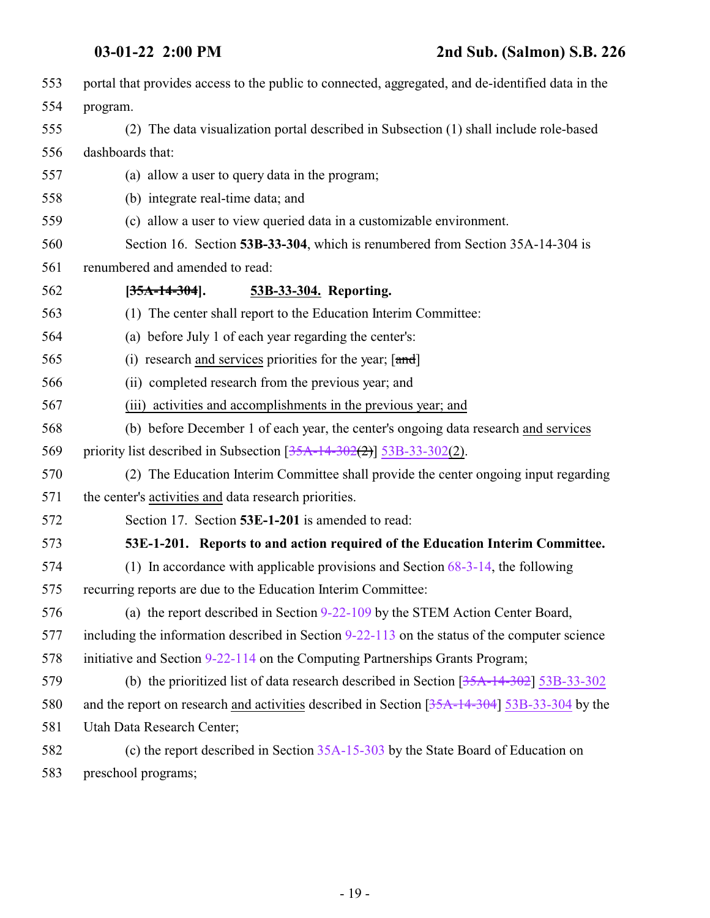<span id="page-18-1"></span><span id="page-18-0"></span>

| 553 | portal that provides access to the public to connected, aggregated, and de-identified data in the |
|-----|---------------------------------------------------------------------------------------------------|
| 554 | program.                                                                                          |
| 555 | (2) The data visualization portal described in Subsection (1) shall include role-based            |
| 556 | dashboards that:                                                                                  |
| 557 | (a) allow a user to query data in the program;                                                    |
| 558 | (b) integrate real-time data; and                                                                 |
| 559 | (c) allow a user to view queried data in a customizable environment.                              |
| 560 | Section 16. Section 53B-33-304, which is renumbered from Section 35A-14-304 is                    |
| 561 | renumbered and amended to read:                                                                   |
| 562 | 53B-33-304. Reporting.<br>$[35A-14-304]$ .                                                        |
| 563 | (1) The center shall report to the Education Interim Committee:                                   |
| 564 | (a) before July 1 of each year regarding the center's:                                            |
| 565 | (i) research and services priorities for the year; $\lceil \frac{and}{ } \rceil$                  |
| 566 | (ii) completed research from the previous year; and                                               |
| 567 | (iii) activities and accomplishments in the previous year; and                                    |
| 568 | (b) before December 1 of each year, the center's ongoing data research and services               |
| 569 | priority list described in Subsection $[35A-14-302(2)]$ 53B-33-302(2).                            |
| 570 | (2) The Education Interim Committee shall provide the center ongoing input regarding              |
| 571 | the center's activities and data research priorities.                                             |
| 572 | Section 17. Section 53E-1-201 is amended to read:                                                 |
| 573 | 53E-1-201. Reports to and action required of the Education Interim Committee.                     |
| 574 | (1) In accordance with applicable provisions and Section $68-3-14$ , the following                |
| 575 | recurring reports are due to the Education Interim Committee:                                     |
| 576 | (a) the report described in Section 9-22-109 by the STEM Action Center Board,                     |
| 577 | including the information described in Section $9-22-113$ on the status of the computer science   |
| 578 | initiative and Section 9-22-114 on the Computing Partnerships Grants Program;                     |
| 579 | (b) the prioritized list of data research described in Section $[35A-14-302]$ 53B-33-302          |
| 580 | and the report on research and activities described in Section [35A-14-304] 53B-33-304 by the     |
| 581 | Utah Data Research Center;                                                                        |
| 582 | (c) the report described in Section 35A-15-303 by the State Board of Education on                 |
| 583 | preschool programs;                                                                               |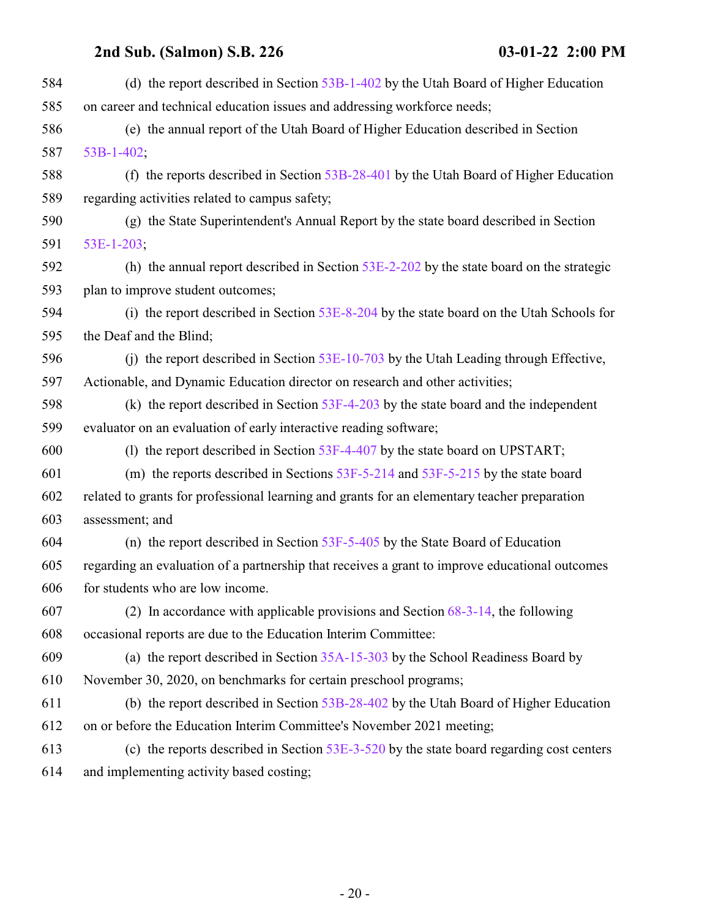| 584 | (d) the report described in Section $53B-1-402$ by the Utah Board of Higher Education          |
|-----|------------------------------------------------------------------------------------------------|
| 585 | on career and technical education issues and addressing workforce needs;                       |
| 586 | (e) the annual report of the Utah Board of Higher Education described in Section               |
| 587 | $53B-1-402$ ;                                                                                  |
| 588 | (f) the reports described in Section $53B-28-401$ by the Utah Board of Higher Education        |
| 589 | regarding activities related to campus safety;                                                 |
| 590 | (g) the State Superintendent's Annual Report by the state board described in Section           |
| 591 | $53E-1-203$ ;                                                                                  |
| 592 | (h) the annual report described in Section $53E-2-202$ by the state board on the strategic     |
| 593 | plan to improve student outcomes;                                                              |
| 594 | (i) the report described in Section 53E-8-204 by the state board on the Utah Schools for       |
| 595 | the Deaf and the Blind;                                                                        |
| 596 | (i) the report described in Section $53E-10-703$ by the Utah Leading through Effective,        |
| 597 | Actionable, and Dynamic Education director on research and other activities;                   |
| 598 | (k) the report described in Section $53F-4-203$ by the state board and the independent         |
| 599 | evaluator on an evaluation of early interactive reading software;                              |
| 600 | (1) the report described in Section 53F-4-407 by the state board on UPSTART;                   |
| 601 | (m) the reports described in Sections $53F-5-214$ and $53F-5-215$ by the state board           |
| 602 | related to grants for professional learning and grants for an elementary teacher preparation   |
| 603 | assessment; and                                                                                |
| 604 | (n) the report described in Section $53F-5-405$ by the State Board of Education                |
| 605 | regarding an evaluation of a partnership that receives a grant to improve educational outcomes |
| 606 | for students who are low income.                                                               |
| 607 | (2) In accordance with applicable provisions and Section $68-3-14$ , the following             |
| 608 | occasional reports are due to the Education Interim Committee:                                 |
| 609 | (a) the report described in Section $35A-15-303$ by the School Readiness Board by              |
| 610 | November 30, 2020, on benchmarks for certain preschool programs;                               |
| 611 | (b) the report described in Section 53B-28-402 by the Utah Board of Higher Education           |
| 612 | on or before the Education Interim Committee's November 2021 meeting;                          |
| 613 | (c) the reports described in Section $53E-3-520$ by the state board regarding cost centers     |
| 614 | and implementing activity based costing;                                                       |
|     |                                                                                                |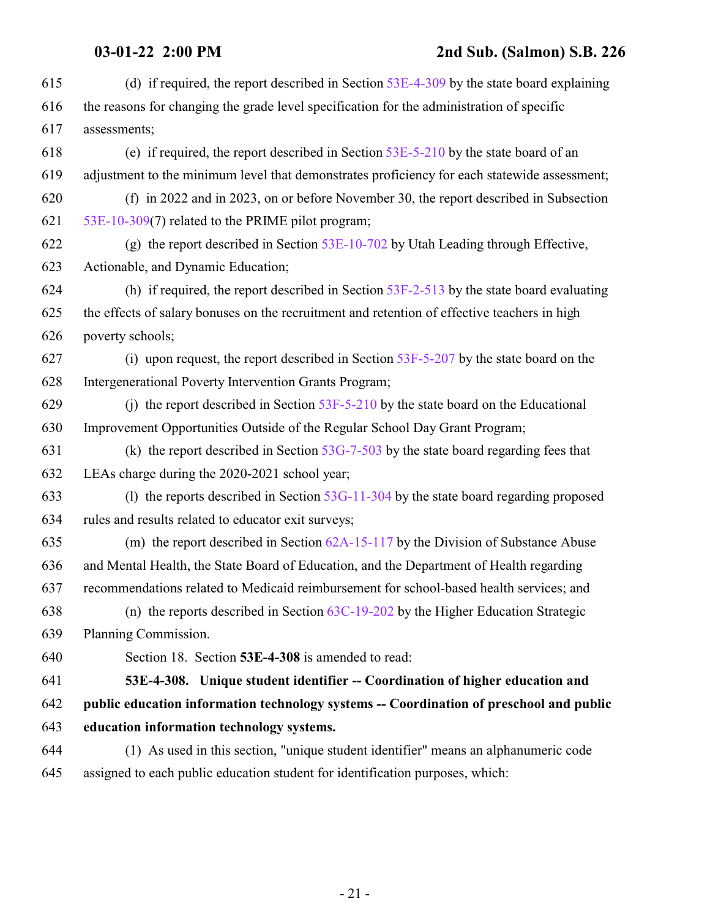<span id="page-20-0"></span>

| 615 | (d) if required, the report described in Section $53E-4-309$ by the state board explaining   |
|-----|----------------------------------------------------------------------------------------------|
| 616 | the reasons for changing the grade level specification for the administration of specific    |
| 617 | assessments;                                                                                 |
| 618 | (e) if required, the report described in Section $53E-5-210$ by the state board of an        |
| 619 | adjustment to the minimum level that demonstrates proficiency for each statewide assessment; |
| 620 | (f) in 2022 and in 2023, on or before November 30, the report described in Subsection        |
| 621 | 53E-10-309(7) related to the PRIME pilot program;                                            |
| 622 | (g) the report described in Section $53E-10-702$ by Utah Leading through Effective,          |
| 623 | Actionable, and Dynamic Education;                                                           |
| 624 | (h) if required, the report described in Section $53F-2-513$ by the state board evaluating   |
| 625 | the effects of salary bonuses on the recruitment and retention of effective teachers in high |
| 626 | poverty schools;                                                                             |
| 627 | (i) upon request, the report described in Section $53F-5-207$ by the state board on the      |
| 628 | Intergenerational Poverty Intervention Grants Program;                                       |
| 629 | (j) the report described in Section $53F-5-210$ by the state board on the Educational        |
| 630 | Improvement Opportunities Outside of the Regular School Day Grant Program;                   |
| 631 | (k) the report described in Section $53G-7-503$ by the state board regarding fees that       |
| 632 | LEAs charge during the 2020-2021 school year;                                                |
| 633 | (1) the reports described in Section $53G-11-304$ by the state board regarding proposed      |
| 634 | rules and results related to educator exit surveys;                                          |
| 635 | (m) the report described in Section $62A-15-117$ by the Division of Substance Abuse          |
| 636 | and Mental Health, the State Board of Education, and the Department of Health regarding      |
| 637 | recommendations related to Medicaid reimbursement for school-based health services; and      |
| 638 | (n) the reports described in Section $63C-19-202$ by the Higher Education Strategic          |
| 639 | Planning Commission.                                                                         |
| 640 | Section 18. Section 53E-4-308 is amended to read:                                            |
| 641 | 53E-4-308. Unique student identifier -- Coordination of higher education and                 |
| 642 | public education information technology systems -- Coordination of preschool and public      |
| 643 | education information technology systems.                                                    |
| 644 | (1) As used in this section, "unique student identifier" means an alphanumeric code          |
| 645 | assigned to each public education student for identification purposes, which:                |
|     |                                                                                              |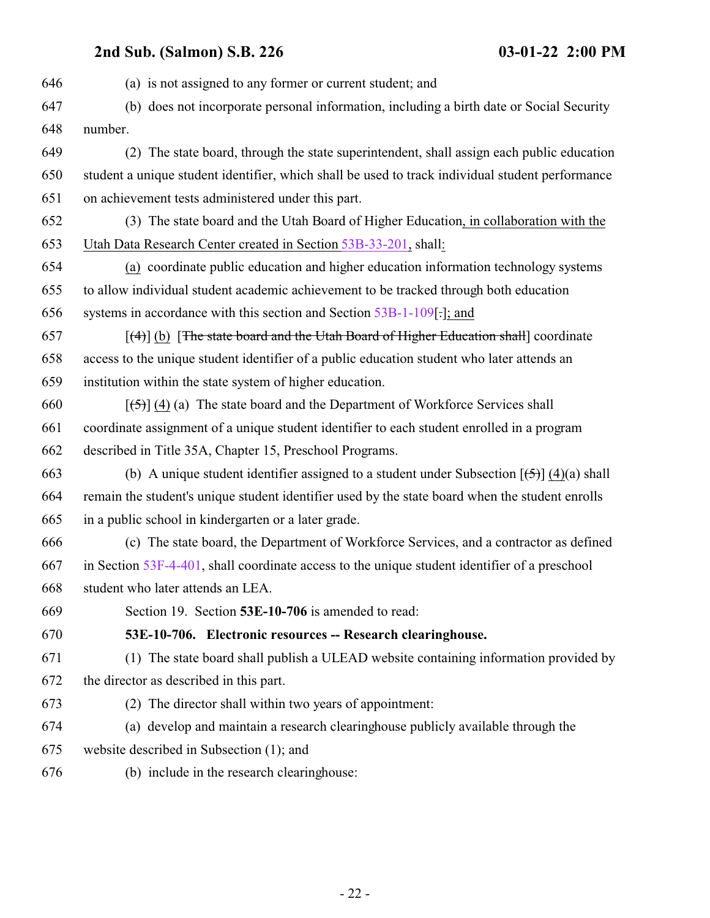<span id="page-21-0"></span> (a) is not assigned to any former or current student; and (b) does not incorporate personal information, including a birth date or Social Security number. (2) The state board, through the state superintendent, shall assign each public education student a unique student identifier, which shall be used to track individual student performance on achievement tests administered under this part. (3) The state board and the Utah Board of Higher Education, in collaboration with the Utah Data Research Center created in Section [53B-33-201](#page-13-0), shall: (a) coordinate public education and higher education information technology systems to allow individual student academic achievement to be tracked through both education systems in accordance with this section and Section [53B-1-109](#page-4-0)[.]; and  $(657$  [(4)] (b) [The state board and the Utah Board of Higher Education shall] coordinate access to the unique student identifier of a public education student who later attends an institution within the state system of higher education.  $[\frac{1}{5}]$  (4) (a) The state board and the Department of Workforce Services shall coordinate assignment of a unique student identifier to each student enrolled in a program described in Title 35A, Chapter 15, Preschool Programs. 663 (b) A unique student identifier assigned to a student under Subsection  $[\frac{15}{2}] (4)(a)$  shall remain the student's unique student identifier used by the state board when the student enrolls in a public school in kindergarten or a later grade. (c) The state board, the Department of Workforce Services, and a contractor as defined in Section [53F-4-401](http://le.utah.gov/UtahCode/SectionLookup.jsp?section=53f-4-401&session=2022GS), shall coordinate access to the unique student identifier of a preschool student who later attends an LEA. Section 19. Section **53E-10-706** is amended to read: **53E-10-706. Electronic resources -- Research clearinghouse.** (1) The state board shall publish a ULEAD website containing information provided by the director as described in this part. (2) The director shall within two years of appointment: (a) develop and maintain a research clearinghouse publicly available through the website described in Subsection (1); and (b) include in the research clearinghouse: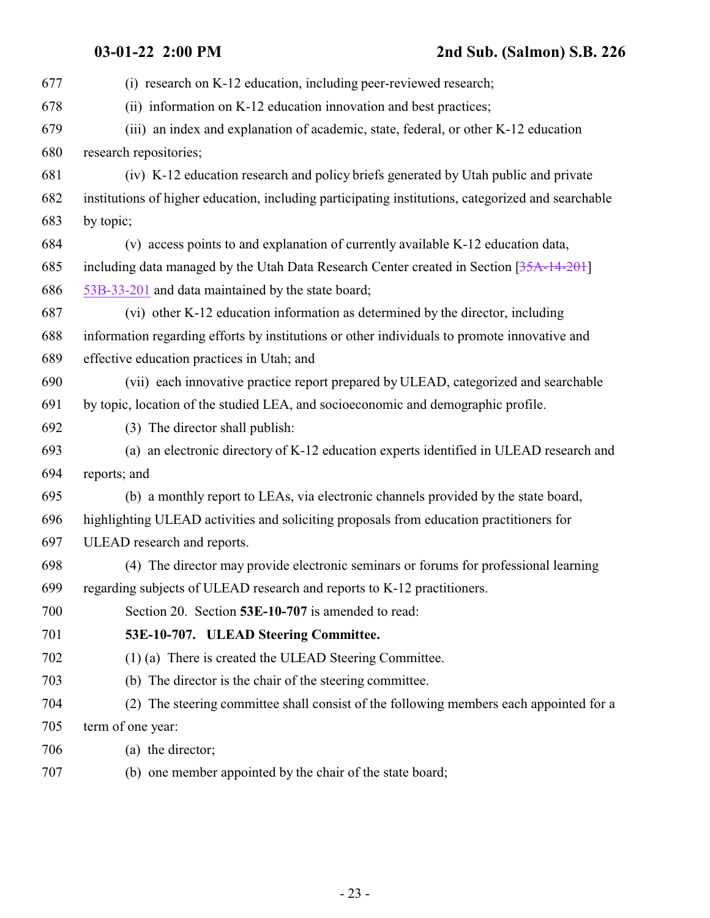<span id="page-22-0"></span>

| 677 | (i) research on K-12 education, including peer-reviewed research;                                  |
|-----|----------------------------------------------------------------------------------------------------|
| 678 | (ii) information on K-12 education innovation and best practices;                                  |
| 679 | (iii) an index and explanation of academic, state, federal, or other K-12 education                |
| 680 | research repositories;                                                                             |
| 681 | (iv) K-12 education research and policy briefs generated by Utah public and private                |
| 682 | institutions of higher education, including participating institutions, categorized and searchable |
| 683 | by topic;                                                                                          |
| 684 | (v) access points to and explanation of currently available K-12 education data,                   |
| 685 | including data managed by the Utah Data Research Center created in Section [35A-14-201]            |
| 686 | 53B-33-201 and data maintained by the state board;                                                 |
| 687 | (vi) other K-12 education information as determined by the director, including                     |
| 688 | information regarding efforts by institutions or other individuals to promote innovative and       |
| 689 | effective education practices in Utah; and                                                         |
| 690 | (vii) each innovative practice report prepared by ULEAD, categorized and searchable                |
| 691 | by topic, location of the studied LEA, and socioeconomic and demographic profile.                  |
| 692 | (3) The director shall publish:                                                                    |
| 693 | (a) an electronic directory of K-12 education experts identified in ULEAD research and             |
| 694 | reports; and                                                                                       |
| 695 | (b) a monthly report to LEAs, via electronic channels provided by the state board,                 |
| 696 | highlighting ULEAD activities and soliciting proposals from education practitioners for            |
| 697 | ULEAD research and reports.                                                                        |
| 698 | (4) The director may provide electronic seminars or forums for professional learning               |
| 699 | regarding subjects of ULEAD research and reports to K-12 practitioners.                            |
| 700 | Section 20. Section 53E-10-707 is amended to read:                                                 |
| 701 | 53E-10-707. ULEAD Steering Committee.                                                              |
| 702 | (1) (a) There is created the ULEAD Steering Committee.                                             |
| 703 | (b) The director is the chair of the steering committee.                                           |
| 704 | (2) The steering committee shall consist of the following members each appointed for a             |
| 705 | term of one year:                                                                                  |
| 706 | (a) the director;                                                                                  |
| 707 | (b) one member appointed by the chair of the state board;                                          |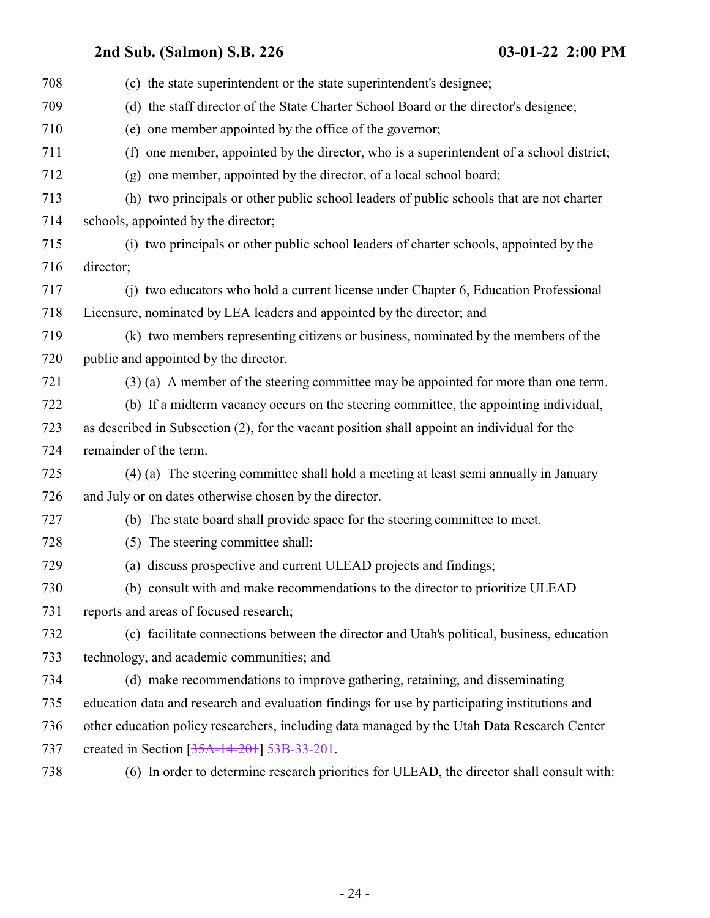| 708 | (c) the state superintendent or the state superintendent's designee;                          |
|-----|-----------------------------------------------------------------------------------------------|
| 709 | (d) the staff director of the State Charter School Board or the director's designee;          |
| 710 | (e) one member appointed by the office of the governor;                                       |
| 711 | (f) one member, appointed by the director, who is a superintendent of a school district;      |
| 712 | (g) one member, appointed by the director, of a local school board;                           |
| 713 | (h) two principals or other public school leaders of public schools that are not charter      |
| 714 | schools, appointed by the director;                                                           |
| 715 | (i) two principals or other public school leaders of charter schools, appointed by the        |
| 716 | director;                                                                                     |
| 717 | (i) two educators who hold a current license under Chapter 6, Education Professional          |
| 718 | Licensure, nominated by LEA leaders and appointed by the director; and                        |
| 719 | (k) two members representing citizens or business, nominated by the members of the            |
| 720 | public and appointed by the director.                                                         |
| 721 | (3) (a) A member of the steering committee may be appointed for more than one term.           |
| 722 | (b) If a midterm vacancy occurs on the steering committee, the appointing individual,         |
| 723 | as described in Subsection (2), for the vacant position shall appoint an individual for the   |
| 724 | remainder of the term.                                                                        |
| 725 | (4) (a) The steering committee shall hold a meeting at least semi annually in January         |
| 726 | and July or on dates otherwise chosen by the director.                                        |
| 727 | (b) The state board shall provide space for the steering committee to meet.                   |
| 728 | (5) The steering committee shall:                                                             |
| 729 | (a) discuss prospective and current ULEAD projects and findings;                              |
| 730 | (b) consult with and make recommendations to the director to prioritize ULEAD                 |
| 731 | reports and areas of focused research;                                                        |
| 732 | (c) facilitate connections between the director and Utah's political, business, education     |
| 733 | technology, and academic communities; and                                                     |
| 734 | (d) make recommendations to improve gathering, retaining, and disseminating                   |
| 735 | education data and research and evaluation findings for use by participating institutions and |
| 736 | other education policy researchers, including data managed by the Utah Data Research Center   |
| 737 | created in Section $[35A-14-201]$ 53B-33-201.                                                 |
| 738 | (6) In order to determine research priorities for ULEAD, the director shall consult with:     |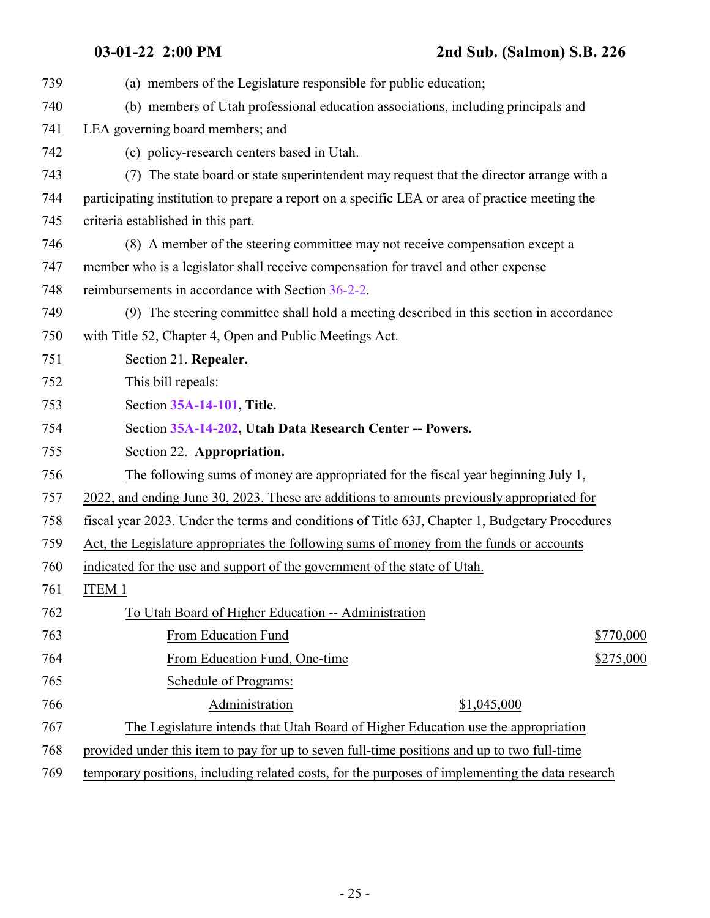| 739 | (a) members of the Legislature responsible for public education;                                 |
|-----|--------------------------------------------------------------------------------------------------|
| 740 | (b) members of Utah professional education associations, including principals and                |
| 741 | LEA governing board members; and                                                                 |
| 742 | (c) policy-research centers based in Utah.                                                       |
| 743 | (7) The state board or state superintendent may request that the director arrange with a         |
| 744 | participating institution to prepare a report on a specific LEA or area of practice meeting the  |
| 745 | criteria established in this part.                                                               |
| 746 | (8) A member of the steering committee may not receive compensation except a                     |
| 747 | member who is a legislator shall receive compensation for travel and other expense               |
| 748 | reimbursements in accordance with Section 36-2-2.                                                |
| 749 | (9) The steering committee shall hold a meeting described in this section in accordance          |
| 750 | with Title 52, Chapter 4, Open and Public Meetings Act.                                          |
| 751 | Section 21. Repealer.                                                                            |
| 752 | This bill repeals:                                                                               |
| 753 | Section 35A-14-101, Title.                                                                       |
| 754 | Section 35A-14-202, Utah Data Research Center -- Powers.                                         |
| 755 | Section 22. Appropriation.                                                                       |
| 756 | The following sums of money are appropriated for the fiscal year beginning July 1,               |
| 757 | 2022, and ending June 30, 2023. These are additions to amounts previously appropriated for       |
| 758 | fiscal year 2023. Under the terms and conditions of Title 63J, Chapter 1, Budgetary Procedures   |
| 759 | Act, the Legislature appropriates the following sums of money from the funds or accounts         |
| 760 | indicated for the use and support of the government of the state of Utah.                        |
| 761 | ITEM 1                                                                                           |
| 762 | To Utah Board of Higher Education -- Administration                                              |
| 763 | From Education Fund<br>\$770,000                                                                 |
| 764 | From Education Fund, One-time<br>\$275,000                                                       |
| 765 | Schedule of Programs:                                                                            |
| 766 | Administration<br>\$1,045,000                                                                    |
| 767 | The Legislature intends that Utah Board of Higher Education use the appropriation                |
| 768 | provided under this item to pay for up to seven full-time positions and up to two full-time      |
| 769 | temporary positions, including related costs, for the purposes of implementing the data research |